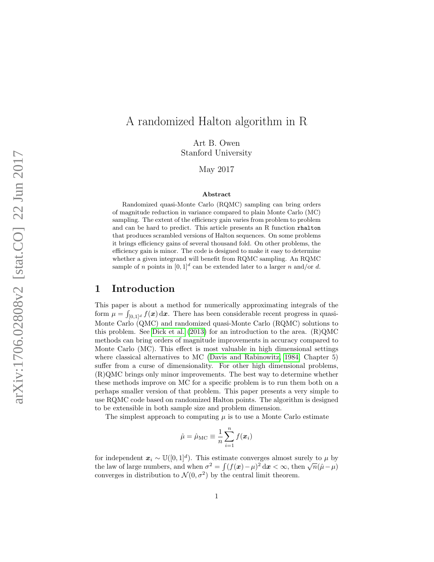# A randomized Halton algorithm in R

Art B. Owen Stanford University

May 2017

#### Abstract

Randomized quasi-Monte Carlo (RQMC) sampling can bring orders of magnitude reduction in variance compared to plain Monte Carlo (MC) sampling. The extent of the efficiency gain varies from problem to problem and can be hard to predict. This article presents an R function rhalton that produces scrambled versions of Halton sequences. On some problems it brings efficiency gains of several thousand fold. On other problems, the efficiency gain is minor. The code is designed to make it easy to determine whether a given integrand will benefit from RQMC sampling. An RQMC sample of *n* points in  $[0,1]^d$  can be extended later to a larger *n* and/or *d*.

### 1 Introduction

This paper is about a method for numerically approximating integrals of the form  $\mu = \int_{[0,1]^d} f(\mathbf{x}) d\mathbf{x}$ . There has been considerable recent progress in quasi-Monte Carlo (QMC) and randomized quasi-Monte Carlo (RQMC) solutions to this problem. See [Dick et al.](#page-21-0) [\(2013\)](#page-21-0) for an introduction to the area. (R)QMC methods can bring orders of magnitude improvements in accuracy compared to Monte Carlo (MC). This effect is most valuable in high dimensional settings where classical alternatives to MC [\(Davis and Rabinowitz, 1984,](#page-21-1) Chapter 5) suffer from a curse of dimensionality. For other high dimensional problems, (R)QMC brings only minor improvements. The best way to determine whether these methods improve on MC for a specific problem is to run them both on a perhaps smaller version of that problem. This paper presents a very simple to use RQMC code based on randomized Halton points. The algorithm is designed to be extensible in both sample size and problem dimension.

The simplest approach to computing  $\mu$  is to use a Monte Carlo estimate

$$
\hat{\mu} = \hat{\mu}_{\text{MC}} \equiv \frac{1}{n} \sum_{i=1}^{n} f(\boldsymbol{x}_i)
$$

for independent  $x_i \sim \mathbb{U}([0,1]^d)$ . This estimate converges almost surely to  $\mu$  by the law of large numbers, and when  $\sigma^2 = \int (f(\mathbf{x}) - \mu)^2 d\mathbf{x} < \infty$ , then  $\sqrt{n}(\hat{\mu} - \mu)$ converges in distribution to  $\mathcal{N}(0, \sigma^2)$  by the central limit theorem.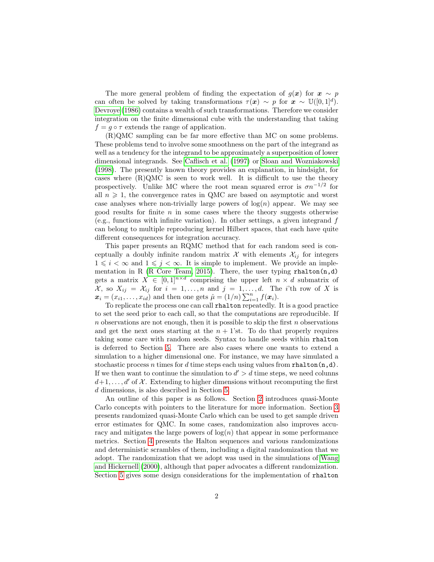The more general problem of finding the expectation of  $g(x)$  for  $x \sim p$ can often be solved by taking transformations  $\tau(x) \sim p$  for  $x \sim \mathbb{U}([0,1]^d)$ . [Devroye](#page-21-2) [\(1986\)](#page-21-2) contains a wealth of such transformations. Therefore we consider integration on the finite dimensional cube with the understanding that taking  $f = q \circ \tau$  extends the range of application.

(R)QMC sampling can be far more effective than MC on some problems. These problems tend to involve some smoothness on the part of the integrand as well as a tendency for the integrand to be approximately a superposition of lower dimensional integrands. See [Caflisch et al.](#page-21-3) [\(1997\)](#page-21-3) or [Sloan and Wozniakowski](#page-23-0) [\(1998\)](#page-23-0). The presently known theory provides an explanation, in hindsight, for cases where  $(R)QMC$  is seen to work well. It is difficult to use the theory prospectively. Unlike MC where the root mean squared error is  $\sigma n^{-1/2}$  for all  $n \geq 1$ , the convergence rates in QMC are based on asymptotic and worst case analyses where non-trivially large powers of  $log(n)$  appear. We may see good results for finite  $n$  in some cases where the theory suggests otherwise (e.g., functions with infinite variation). In other settings, a given integrand  $f$ can belong to multiple reproducing kernel Hilbert spaces, that each have quite different consequences for integration accuracy.

This paper presents an RQMC method that for each random seed is conceptually a doubly infinite random matrix  $\mathcal{X}$  with elements  $\mathcal{X}_{ij}$  for integers  $1 \leq i \leq \infty$  and  $1 \leq j \leq \infty$ . It is simple to implement. We provide an imple-mentation in R [\(R Core Team, 2015\)](#page-23-1). There, the user typing  $r$ halton $(n,d)$ gets a matrix  $X \in [0,1]^{n \times d}$  comprising the upper left  $n \times d$  submatrix of  $\mathcal{X},$  so  $X_{ij} = \mathcal{X}_{ij}$  for  $i = 1, \ldots, n$  and  $j = 1, \ldots, d$ . The *i*'th row of X is  $\boldsymbol{x}_i = (x_{i1}, \dots, x_{id})$  and then one gets  $\hat{\mu} = (1/n) \sum_{i=1}^n f(\boldsymbol{x}_i)$ .

To replicate the process one can call rhalton repeatedly. It is a good practice to set the seed prior to each call, so that the computations are reproducible. If  $n$  observations are not enough, then it is possible to skip the first  $n$  observations and get the next ones starting at the  $n + 1$ 'st. To do that properly requires taking some care with random seeds. Syntax to handle seeds within rhalton is deferred to Section [5.](#page-10-0) There are also cases where one wants to extend a simulation to a higher dimensional one. For instance, we may have simulated a stochastic process n times for d time steps each using values from rhalton $(n,d)$ . If we then want to continue the simulation to  $d' > d$  time steps, we need colunns  $d+1, \ldots, d'$  of X. Extending to higher dimensions without recomputing the first d dimensions, is also described in Section [5.](#page-10-0)

An outline of this paper is as follows. Section [2](#page-2-0) introduces quasi-Monte Carlo concepts with pointers to the literature for more information. Section [3](#page-4-0) presents randomized quasi-Monte Carlo which can be used to get sample driven error estimates for QMC. In some cases, randomization also improves accuracy and mitigates the large powers of  $log(n)$  that appear in some performance metrics. Section [4](#page-5-0) presents the Halton sequences and various randomizations and deterministic scrambles of them, including a digital randomization that we adopt. The randomization that we adopt was used in the simulations of [Wang](#page-23-2) [and Hickernell](#page-23-2) [\(2000\)](#page-23-2), although that paper advocates a different randomization. Section [5](#page-10-0) gives some design considerations for the implementation of rhalton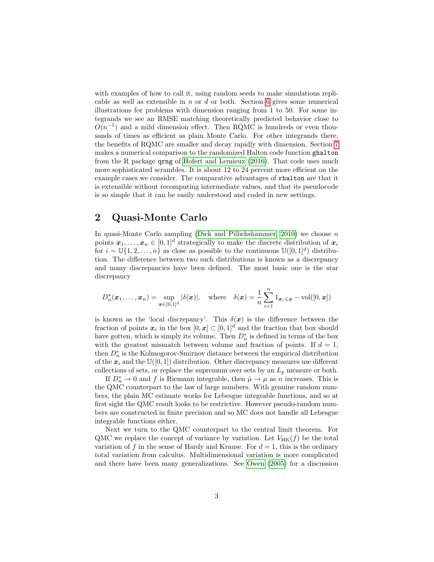with examples of how to call it, using random seeds to make simulations replicable as well as extensible in  $n$  or  $d$  or both. Section [6](#page-13-0) gives some numerical illustrations for problems with dimension ranging from 1 to 50. For some integrands we see an RMSE matching theoretically predicted behavior close to  $O(n^{-1})$  and a mild dimension effect. Then RQMC is hundreds or even thousands of times as efficient as plain Monte Carlo. For other integrands there, the benefits of RQMC are smaller and decay rapidly with dimension. Section [7](#page-19-0) makes a numerical comparison to the randomized Halton code function ghalton from the R package qrng of [Hofert and Lemieux](#page-22-0) [\(2016\)](#page-22-0). That code uses much more sophisticated scrambles. It is about 12 to 24 percent more efficient on the example cases we consider. The comparative advantages of rhalton are that it is extensible without recomputing intermediate values, and that its pseudocode is so simple that it can be easily understood and coded in new settings.

## <span id="page-2-0"></span>2 Quasi-Monte Carlo

In quasi-Monte Carlo sampling [\(Dick and Pillichshammer, 2010\)](#page-21-4) we choose  $n$ points  $x_1, \ldots, x_n \in [0,1]^d$  strategically to make the discrete distribution of  $x_i$ for  $i \sim \mathbb{U}{1, 2, ..., n}$  as close as possible to the continuous  $\mathbb{U}{(0, 1]^d}$  distribution. The difference between two such distributions is known as a discrepancy and many discrepancies have been defined. The most basic one is the star discrepancy

$$
D_n^*(\boldsymbol{x}_1,\ldots,\boldsymbol{x}_n)=\sup_{\boldsymbol{x}\in[0,1]^d}|\delta(\boldsymbol{x})|,\quad\text{where}\quad\delta(\boldsymbol{x})=\frac{1}{n}\sum_{i=1}^n1_{\boldsymbol{x}_i\leqslant\boldsymbol{x}}-\text{vol}([0,\boldsymbol{x}])
$$

is known as the 'local discrepancy'. This  $\delta(x)$  is the difference between the fraction of points  $x_i$  in the box  $[0, x] \subset [0, 1]^d$  and the fraction that box should have gotten, which is simply its volume. Then  $D_n^*$  is defined in terms of the box with the greatest mismatch between volume and fraction of points. If  $d = 1$ , then  $D_n^*$  is the Kolmogorov-Smirnov distance between the empirical distribution of the  $x_i$  and the  $\mathbb{U}([0,1])$  distribution. Other discrepancy measures use different collections of sets, or replace the supremum over sets by an  $L_p$  measure or both.

If  $D_n^* \to 0$  and f is Riemann integrable, then  $\hat{\mu} \to \mu$  as n increases. This is the QMC counterpart to the law of large numbers. With genuine random numbers, the plain MC estimate works for Lebesgue integrable functions, and so at first sight the QMC result looks to be restrictive. However pseudo-random numbers are constructed in finite precision and so MC does not handle all Lebesgue integrable functions either.

Next we turn to the QMC counterpart to the central limit theorem. For QMC we replace the concept of variance by variation. Let  $V_{HK}(f)$  be the total variation of f in the sense of Hardy and Krause. For  $d = 1$ , this is the ordinary total variation from calculus. Multidimensional variation is more complicated and there have been many generalizations. See [Owen](#page-23-3) [\(2005\)](#page-23-3) for a discussion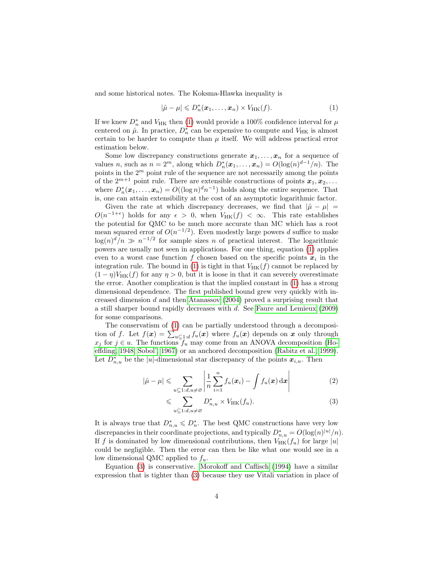and some historical notes. The Koksma-Hlawka inequality is

<span id="page-3-0"></span>
$$
|\hat{\mu} - \mu| \leqslant D_n^*(\boldsymbol{x}_1, \dots, \boldsymbol{x}_n) \times V_{\text{HK}}(f). \tag{1}
$$

If we knew  $D_n^*$  and  $V_{\rm HK}$  then [\(1\)](#page-3-0) would provide a 100% confidence interval for  $\mu$ centered on  $\hat{\mu}$ . In practice,  $D_n^*$  can be expensive to compute and  $V_{HK}$  is almost certain to be harder to compute than  $\mu$  itself. We will address practical error estimation below.

Some low discrepancy constructions generate  $x_1, \ldots, x_n$  for a sequence of values *n*, such as  $n = 2^m$ , along which  $D_n^*(\boldsymbol{x}_1, ..., \boldsymbol{x}_n) = O(\log(n)^{d-1}/n)$ . The points in the  $2<sup>m</sup>$  point rule of the sequence are not necessarily among the points of the  $2^{m+1}$  point rule. There are extensible constructions of points  $x_1, x_2, \ldots$ where  $D_n^*(\boldsymbol{x}_1,\ldots,\boldsymbol{x}_n) = O((\log n)^d n^{-1})$  holds along the entire sequence. That is, one can attain extensibility at the cost of an asymptotic logarithmic factor.

Given the rate at which discrepancy decreases, we find that  $|\hat{\mu} - \mu|$  =  $O(n^{-1+\epsilon})$  holds for any  $\epsilon > 0$ , when  $V_{HK}(f) < \infty$ . This rate establishes the potential for QMC to be much more accurate than MC which has a root mean squared error of  $O(n^{-1/2})$ . Even modestly large powers d suffice to make  $\log(n)^d/n \gg n^{-1/2}$  for sample sizes n of practical interest. The logarithmic powers are usually not seen in applications. For one thing, equation [\(1\)](#page-3-0) applies even to a worst case function f chosen based on the specific points  $x_i$  in the integration rule. The bound in [\(1\)](#page-3-0) is tight in that  $V_{HK}(f)$  cannot be replaced by  $(1 - \eta)V_{HK}(f)$  for any  $\eta > 0$ , but it is loose in that it can severely overestimate the error. Another complication is that the implied constant in [\(1\)](#page-3-0) has a strong dimensional dependence. The first published bound grew very quickly with increased dimension  $d$  and then [Atanassov](#page-21-5) [\(2004\)](#page-21-5) proved a surprising result that a still sharper bound rapidly decreases with d. See [Faure and Lemieux](#page-21-6) [\(2009\)](#page-21-6) for some comparisons.

The conservatism of [\(1\)](#page-3-0) can be partially understood through a decomposition of f. Let  $f(\mathbf{x}) = \sum_{u \subseteq 1:d} f_u(\mathbf{x})$  where  $f_u(\mathbf{x})$  depends on  $\mathbf{x}$  only through  $x_j$  for  $j \in u$ . The functions  $f_u$  may come from an ANOVA decomposition [\(Ho](#page-22-1)[effding, 1948;](#page-22-1) [Sobol', 1967\)](#page-23-4) or an anchored decomposition [\(Rabitz et al., 1999\)](#page-23-5). Let  $D_{n,u}^*$  be the |u|-dimensional star discrepancy of the points  $x_{i,u}$ . Then

$$
|\hat{\mu} - \mu| \leqslant \sum_{u \subseteq 1:d, u \neq \varnothing} \left| \frac{1}{n} \sum_{i=1}^n f_u(x_i) - \int f_u(x) \, \mathrm{d}x \right| \tag{2}
$$

<span id="page-3-2"></span><span id="page-3-1"></span>
$$
\leqslant \sum_{u \subseteq 1:d, u \neq \varnothing} D_{n,u}^* \times V_{\text{HK}}(f_u). \tag{3}
$$

It is always true that  $D_{n,u}^* \leqslant D_n^*$ . The best QMC constructions have very low discrepancies in their coordinate projections, and typically  $D_{n,u}^* = O(\log(n)^{|u|}/n)$ . If f is dominated by low dimensional contributions, then  $V_{HK}(f_u)$  for large |u| could be negligible. Then the error can then be like what one would see in a low dimensional QMC applied to  $f_u$ .

Equation [\(3\)](#page-3-1) is conservative. [Morokoff and Caflisch](#page-22-2) [\(1994\)](#page-22-2) have a similar expression that is tighter than [\(3\)](#page-3-1) because they use Vitali variation in place of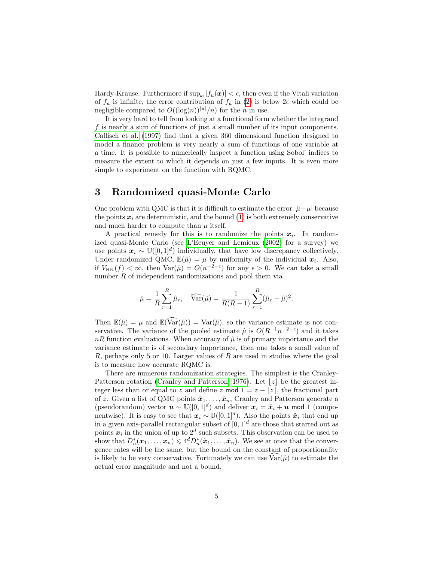Hardy-Krause. Furthermore if  $\sup_{x}|f_u(x)| < \epsilon$ , then even if the Vitali variation of  $f_u$  is infinite, the error contribution of  $f_u$  in [\(2\)](#page-3-2) is below  $2\epsilon$  which could be negligible compared to  $O((\log(n))^{|u|}/n)$  for the *n* in use.

It is very hard to tell from looking at a functional form whether the integrand f is nearly a sum of functions of just a small number of its input components. [Caflisch et al.](#page-21-3) [\(1997\)](#page-21-3) find that a given 360 dimensional function designed to model a finance problem is very nearly a sum of functions of one variable at a time. It is possible to numerically inspect a function using Sobol' indices to measure the extent to which it depends on just a few inputs. It is even more simple to experiment on the function with RQMC.

## <span id="page-4-0"></span>3 Randomized quasi-Monte Carlo

One problem with QMC is that it is difficult to estimate the error  $|\hat{\mu} - \mu|$  because the points  $x_i$  are deterministic, and the bound [\(1\)](#page-3-0) is both extremely conservative and much harder to compute than  $\mu$  itself.

A practical remedy for this is to randomize the points  $x_i$ . In randomized quasi-Monte Carlo (see [L'Ecuyer and Lemieux](#page-22-3) [\(2002\)](#page-22-3) for a survey) we use points  $x_i \sim \mathbb{U}([0,1]^d)$  individually, that have low discrepancy collectively. Under randomized QMC,  $\mathbb{E}(\hat{\mu}) = \mu$  by uniformity of the individual  $x_i$ . Also, if  $V_{HK}(f) < \infty$ , then  $Var(\hat{\mu}) = O(n^{-2-\epsilon})$  for any  $\epsilon > 0$ . We can take a small number R of independent randomizations and pool them via

$$
\hat{\mu} = \frac{1}{R} \sum_{r=1}^{R} \hat{\mu}_r, \quad \widehat{\text{Var}}(\hat{\mu}) = \frac{1}{R(R-1)} \sum_{r=1}^{R} (\hat{\mu}_r - \hat{\mu})^2.
$$

Then  $\mathbb{E}(\hat{\mu}) = \mu$  and  $\mathbb{E}(\widehat{\text{Var}}(\hat{\mu})) = \text{Var}(\hat{\mu})$ , so the variance estimate is not conservative. The variance of the pooled estimate  $\hat{\mu}$  is  $O(R^{-1}n^{-2-\epsilon})$  and it takes  $nR$  function evaluations. When accuracy of  $\hat{\mu}$  is of primary importance and the variance estimate is of secondary importance, then one takes a small value of  $R$ , perhaps only 5 or 10. Larger values of  $R$  are used in studies where the goal is to measure how accurate RQMC is.

There are numerous randomization strategies. The simplest is the Cranley-Patterson rotation [\(Cranley and Patterson, 1976\)](#page-21-7). Let  $|z|$  be the greatest integer less than or equal to z and define z mod  $1 = z - |z|$ , the fractional part of z. Given a list of QMC points  $\tilde{\boldsymbol{x}}_1, \ldots, \tilde{\boldsymbol{x}}_n$ , Cranley and Patterson generate a (pseudorandom) vector  $u \sim \mathbb{U}([0,1]^d)$  and deliver  $x_i = \tilde{x}_i + u$  mod 1 (componentwise). It is easy to see that  $x_i \sim \mathbb{U}([0,1]^d)$ . Also the points  $\tilde{x}_i$  that end up in a given axis-parallel rectangular subset of  $[0, 1]^d$  are those that started out as points  $x_i$  in the union of up to  $2^d$  such subsets. This observation can be used to show that  $D_n^*(\bm{x}_1,\ldots,\bm{x}_n) \leqslant 4^d D_n^*(\tilde{\bm{x}}_1,\ldots,\tilde{\bm{x}}_n)$ . We see at once that the convergence rates will be the same, but the bound on the constant of proportionality is likely to be very conservative. Fortunately we can use  $\text{Var}(\hat{\mu})$  to estimate the actual error magnitude and not a bound.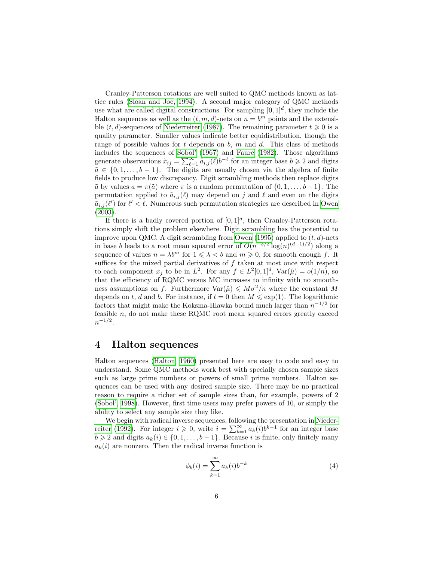Cranley-Patterson rotations are well suited to QMC methods known as lattice rules [\(Sloan and Joe, 1994\)](#page-23-6). A second major category of QMC methods use what are called digital constructions. For sampling  $[0, 1]^d$ , they include the Halton sequences as well as the  $(t, m, d)$ -nets on  $n = b^m$  points and the extensible  $(t, d)$ -sequences of [Niederreiter](#page-22-4) [\(1987\)](#page-22-4). The remaining parameter  $t \geq 0$  is a quality parameter. Smaller values indicate better equidistribution, though the range of possible values for  $t$  depends on  $b$ ,  $m$  and  $d$ . This class of methods includes the sequences of [Sobol'](#page-23-4) [\(1967\)](#page-23-4) and [Faure](#page-21-8) [\(1982\)](#page-21-8). Those algorithms generate observations  $\tilde{x}_{ij} = \sum_{\ell=1}^{\infty} \tilde{a}_{i,j}(\ell) b^{-\ell}$  for an integer base  $b \geq 2$  and digits  $\tilde{a} \in \{0, 1, \ldots, b-1\}$ . The digits are usually chosen via the algebra of finite fields to produce low discrepancy. Digit scrambling methods then replace digits  $\tilde{a}$  by values  $a = \pi(\tilde{a})$  where  $\pi$  is a random permutation of  $\{0, 1, \ldots, b-1\}$ . The permutation applied to  $\tilde{a}_{i,j}(\ell)$  may depend on j and  $\ell$  and even on the digits  $\tilde{a}_{i,j}(\ell')$  for  $\ell' < \ell$ . Numerous such permutation strategies are described in [Owen](#page-22-5) [\(2003\)](#page-22-5).

If there is a badly covered portion of  $[0,1]^d$ , then Cranley-Patterson rotations simply shift the problem elsewhere. Digit scrambling has the potential to improve upon QMC. A digit scrambling from [Owen](#page-22-6) [\(1995\)](#page-22-6) applied to  $(t, d)$ -nets in base b leads to a root mean squared error of  $O(n^{-3/2} \log(n)^{(d-1)/2})$  along a sequence of values  $n = \lambda b^m$  for  $1 \leq \lambda < b$  and  $m \geq 0$ , for smooth enough f. It suffices for the mixed partial derivatives of  $f$  taken at most once with respect to each component  $x_j$  to be in  $L^2$ . For any  $f \in L^2[0,1]^d$ ,  $Var(\hat{\mu}) = o(1/n)$ , so that the efficiency of RQMC versus MC increases to infinity with no smoothness assumptions on f. Furthermore  $\text{Var}(\hat{\mu}) \leq M\sigma^2/n$  where the constant M depends on t, d and b. For instance, if  $t = 0$  then  $M \leq \exp(1)$ . The logarithmic factors that might make the Koksma-Hlawka bound much larger than  $n^{-1/2}$  for feasible  $n$ , do not make these RQMC root mean squared errors greatly exceed  $n^{-1/2}$ .

#### <span id="page-5-0"></span>4 Halton sequences

Halton sequences [\(Halton, 1960\)](#page-22-7) presented here are easy to code and easy to understand. Some QMC methods work best with specially chosen sample sizes such as large prime numbers or powers of small prime numbers. Halton sequences can be used with any desired sample size. There may be no practical reason to require a richer set of sample sizes than, for example, powers of 2 [\(Sobol', 1998\)](#page-23-7). However, first time users may prefer powers of 10, or simply the ability to select any sample size they like.

We begin with radical inverse sequences, following the presentation in [Nieder](#page-22-8)[reiter](#page-22-8) [\(1992\)](#page-22-8). For integer  $i \geq 0$ , write  $i = \sum_{k=1}^{\infty} a_k(i) b^{k-1}$  for an integer base  $b \geq 2$  and digits  $a_k(i) \in \{0, 1, \ldots, b-1\}$ . Because i is finite, only finitely many  $a_k(i)$  are nonzero. Then the radical inverse function is

$$
\phi_b(i) = \sum_{k=1}^{\infty} a_k(i) b^{-k} \tag{4}
$$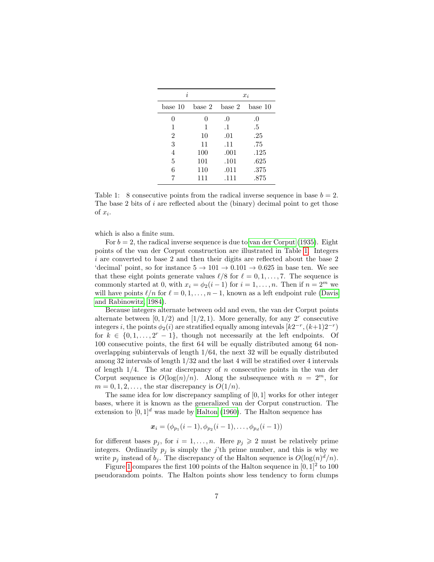| i              |        | $x_i$     |         |  |  |
|----------------|--------|-----------|---------|--|--|
| base 10        | base 2 | base 2    | base 10 |  |  |
| 0              | 0      | .0        | .0      |  |  |
| 1              | 1      | $\cdot$ 1 | .5      |  |  |
| $\overline{2}$ | 10     | .01       | .25     |  |  |
| 3              | 11     | .11       | .75     |  |  |
| $\overline{4}$ | 100    | .001      | .125    |  |  |
| 5              | 101    | .101      | .625    |  |  |
| 6              | 110    | .011      | .375    |  |  |
|                | 111    | .111      | .875    |  |  |

<span id="page-6-0"></span>Table 1: 8 consecutive points from the radical inverse sequence in base  $b = 2$ . The base 2 bits of i are reflected about the (binary) decimal point to get those of  $x_i$ .

which is also a finite sum.

For  $b = 2$ , the radical inverse sequence is due to [van der Corput](#page-23-8) [\(1935\)](#page-23-8). Eight points of the van der Corput construction are illustrated in Table [1.](#page-6-0) Integers i are converted to base 2 and then their digits are reflected about the base 2 'decimal' point, so for instance  $5 \rightarrow 101 \rightarrow 0.101 \rightarrow 0.625$  in base ten. We see that these eight points generate values  $\ell/8$  for  $\ell = 0, 1, \ldots, 7$ . The sequence is commonly started at 0, with  $x_i = \phi_2(i-1)$  for  $i = 1, ..., n$ . Then if  $n = 2^m$  we will have points  $\ell/n$  for  $\ell = 0, 1, \ldots, n - 1$ , known as a left endpoint rule [\(Davis](#page-21-1) [and Rabinowitz, 1984\)](#page-21-1).

Because integers alternate between odd and even, the van der Corput points alternate between  $[0, 1/2)$  and  $[1/2, 1)$ . More generally, for any  $2^r$  consecutive integers i, the points  $\phi_2(i)$  are stratified equally among intevals  $[k2^{-r}, (k+1)2^{-r})$ for  $k \in \{0, 1, ..., 2^r - 1\}$ , though not necessarily at the left endpoints. Of 100 consecutive points, the first 64 will be equally distributed among 64 nonoverlapping subintervals of length 1/64, the next 32 will be equally distributed among 32 intervals of length 1/32 and the last 4 will be stratified over 4 intervals of length  $1/4$ . The star discrepancy of n consecutive points in the van der Corput sequence is  $O(\log(n)/n)$ . Along the subsequence with  $n = 2^m$ , for  $m = 0, 1, 2, \ldots$ , the star discrepancy is  $O(1/n)$ .

The same idea for low discrepancy sampling of [0, 1] works for other integer bases, where it is known as the generalized van der Corput construction. The extension to  $[0, 1]^d$  was made by [Halton](#page-22-7) [\(1960\)](#page-22-7). The Halton sequence has

$$
\boldsymbol{x}_i = (\phi_{p_1}(i-1), \phi_{p_2}(i-1), \ldots, \phi_{p_d}(i-1))
$$

for different bases  $p_j$ , for  $i = 1, ..., n$ . Here  $p_j \geq 2$  must be relatively prime integers. Ordinarily  $p_j$  is simply the j'th prime number, and this is why we write  $p_j$  instead of  $b_j$ . The discrepancy of the Halton sequence is  $O(\log(n)^d/n)$ .

Figure [1](#page-7-0) compares the first 100 points of the Halton sequence in  $[0, 1]^2$  to 100 pseudorandom points. The Halton points show less tendency to form clumps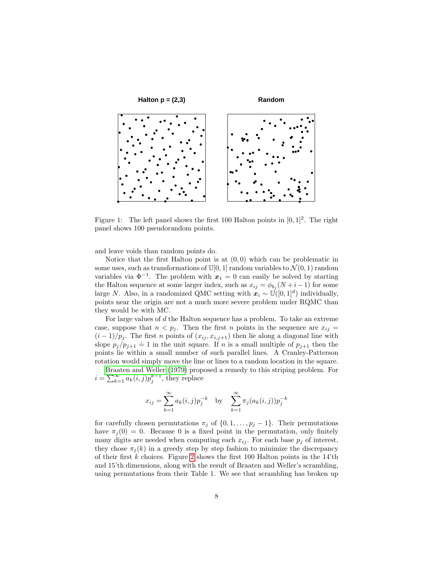

<span id="page-7-0"></span>Figure 1: The left panel shows the first 100 Halton points in  $[0, 1]^2$ . The right panel shows 100 pseudorandom points.

and leave voids than random points do.

Notice that the first Halton point is at  $(0,0)$  which can be problematic in some uses, such as transformations of  $\mathbb{U}[0,1]$  random variables to  $\mathcal{N}(0,1)$  random variables via  $\Phi^{-1}$ . The problem with  $x_1 = 0$  can easily be solved by starting the Halton sequence at some larger index, such as  $x_{ij} = \phi_{b_j}(N+i-1)$  for some large N. Also, in a randomized QMC setting with  $x_i \sim \mathbb{U}([0,1]^d)$  individually, points near the origin are not a much more severe problem under RQMC than they would be with MC.

For large values of  $d$  the Halton sequence has a problem. To take an extreme case, suppose that  $n < p_j$ . Then the first n points in the sequence are  $x_{ij} =$  $(i-1)/p_i$ . The first *n* points of  $(x_{ij}, x_{i,j+1})$  then lie along a diagonal line with slope  $p_j/p_{j+1} \doteq 1$  in the unit square. If *n* is a small multiple of  $p_{j+1}$  then the points lie within a small number of such parallel lines. A Cranley-Patterson rotation would simply move the line or lines to a random location in the square.

[Braaten and Weller](#page-21-9) [\(1979\)](#page-21-9) proposed a remedy to this striping problem. For  $i = \sum_{k=1}^{\infty} a_k(i,j) p_j^{k-1}$ , they replace

$$
x_{ij} = \sum_{k=1}^{\infty} a_k(i,j) p_j^{-k}
$$
 by  $\sum_{k=1}^{\infty} \pi_j(a_k(i,j)) p_j^{-k}$ 

for carefully chosen permutations  $\pi_j$  of  $\{0, 1, \ldots, p_j - 1\}$ . Their permutations have  $\pi_j(0) = 0$ . Because 0 is a fixed point in the permutation, only finitely many digits are needed when computing each  $x_{ij}$ . For each base  $p_j$  of interest, they chose  $\pi_j(k)$  in a greedy step by step fashion to minimize the discrepancy of their first  $k$  choices. Figure [2](#page-8-0) shows the first 100 Halton points in the 14'th and 15'th dimensions, along with the result of Braaten and Weller's scrambling, using permutations from their Table 1. We see that scrambling has broken up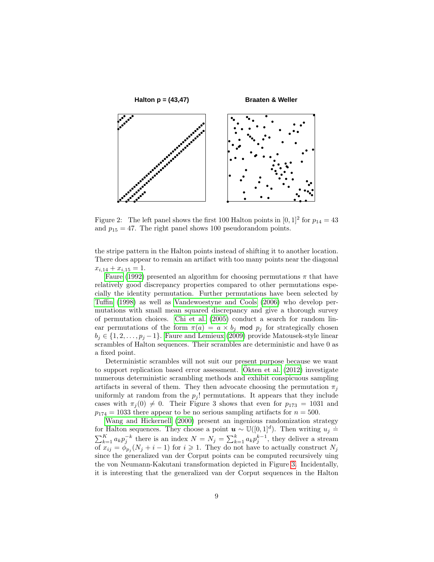

<span id="page-8-0"></span>Figure 2: The left panel shows the first 100 Halton points in  $[0,1]^2$  for  $p_{14} = 43$ and  $p_{15} = 47$ . The right panel shows 100 pseudorandom points.

the stripe pattern in the Halton points instead of shifting it to another location. There does appear to remain an artifact with too many points near the diagonal  $x_{i,14} + x_{i,15} = 1.$ 

[Faure](#page-21-10) [\(1992\)](#page-21-10) presented an algorithm for choosing permutations  $\pi$  that have relatively good discrepancy properties compared to other permutations especially the identity permutation. Further permutations have been selected by [Tuffin](#page-23-9) [\(1998\)](#page-23-9) as well as [Vandewoestyne and Cools](#page-23-10) [\(2006\)](#page-23-10) who develop permutations with small mean squared discrepancy and give a thorough survey of permutation choices. [Chi et al.](#page-21-11) [\(2005\)](#page-21-11) conduct a search for random linear permutations of the form  $\pi(a) = a \times b_j$  mod  $p_j$  for strategically chosen  $b_i \in \{1, 2, \ldots, p_i - 1\}$ . [Faure and Lemieux](#page-21-6) [\(2009\)](#page-21-6) provide Matousek-style linear scrambles of Halton sequences. Their scrambles are deterministic and have 0 as a fixed point.

Deterministic scrambles will not suit our present purpose because we want to support replication based error assessment. [Okten et al.](#page-22-9)  $(2012)$  investigate numerous deterministic scrambling methods and exhibit conspicuous sampling artifacts in several of them. They then advocate choosing the permutation  $\pi_i$ uniformly at random from the  $p_i$ ! permutations. It appears that they include cases with  $\pi_i (0) \neq 0$ . Their Figure 3 shows that even for  $p_{173} = 1031$  and  $p_{174} = 1033$  there appear to be no serious sampling artifacts for  $n = 500$ .

[Wang and Hickernell](#page-23-2) [\(2000\)](#page-23-2) present an ingenious randomization strategy for Halton sequences. They choose a point  $\mathbf{u} \sim \mathbb{U}([0,1]^d)$ . Then writing  $u_j \doteq$  $\sum_{k=1}^{K} a_k p_j^{-k}$  there is an index  $N = N_j = \sum_{k=1}^{k} a_k p_j^{k-1}$ , they deliver a stream of  $x_{ij} = \phi_{p_j}(N_j + i - 1)$  for  $i \geq 1$ . They do not have to actually construct  $N_j$ since the generalized van der Corput points can be computed recursively uing the von Neumann-Kakutani transformation depicted in Figure [3.](#page-9-0) Incidentally, it is interesting that the generalized van der Corput sequences in the Halton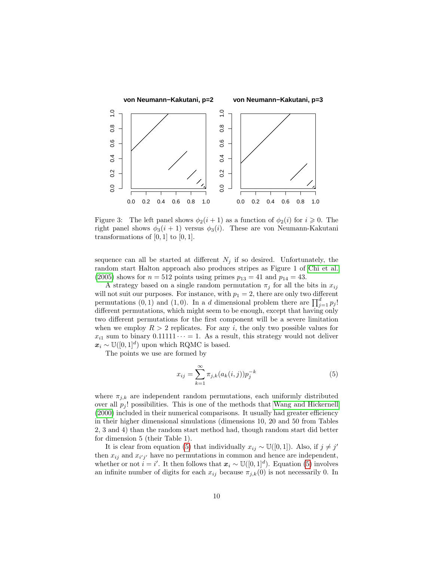

<span id="page-9-0"></span>Figure 3: The left panel shows  $\phi_2(i+1)$  as a function of  $\phi_2(i)$  for  $i \geq 0$ . The right panel shows  $\phi_3(i + 1)$  versus  $\phi_3(i)$ . These are von Neumann-Kakutani transformations of  $[0, 1]$  to  $[0, 1]$ .

sequence can all be started at different  $N_j$  if so desired. Unfortunately, the random start Halton approach also produces stripes as Figure 1 of [Chi et al.](#page-21-11) [\(2005\)](#page-21-11) shows for  $n = 512$  points using primes  $p_{13} = 41$  and  $p_{14} = 43$ .

A strategy based on a single random permutation  $\pi_i$  for all the bits in  $x_{ij}$ will not suit our purposes. For instance, with  $p_1 = 2$ , there are only two different permutations  $(0, 1)$  and  $(1, 0)$ . In a *d* dimensional problem there are  $\prod_{j=1}^{d} p_j!$ different permutations, which might seem to be enough, except that having only two different permutations for the first component will be a severe limitation when we employ  $R > 2$  replicates. For any i, the only two possible values for  $x_{i1}$  sum to binary  $0.11111 \cdots = 1$ . As a result, this strategy would not deliver  $x_i \sim \mathbb{U}([0,1]^d)$  upon which RQMC is based.

The points we use are formed by

<span id="page-9-1"></span>
$$
x_{ij} = \sum_{k=1}^{\infty} \pi_{j,k}(a_k(i,j)) p_j^{-k}
$$
 (5)

where  $\pi_{i,k}$  are independent random permutations, each uniformly distributed over all  $p_i$ ! possibilities. This is one of the methods that [Wang and Hickernell](#page-23-2) [\(2000\)](#page-23-2) included in their numerical comparisons. It usually had greater efficiency in their higher dimensional simulations (dimensions 10, 20 and 50 from Tables 2, 3 and 4) than the random start method had, though random start did better for dimension 5 (their Table 1).

It is clear from equation [\(5\)](#page-9-1) that individually  $x_{ij} \sim \mathbb{U}([0,1])$ . Also, if  $j \neq j'$ then  $x_{ij}$  and  $x_{i'j'}$  have no permutations in common and hence are independent, whether or not  $i = i'$ . It then follows that  $x_i \sim \mathbb{U}([0,1]^d)$ . Equation [\(5\)](#page-9-1) involves an infinite number of digits for each  $x_{ij}$  because  $\pi_{j,k}(0)$  is not necessarily 0. In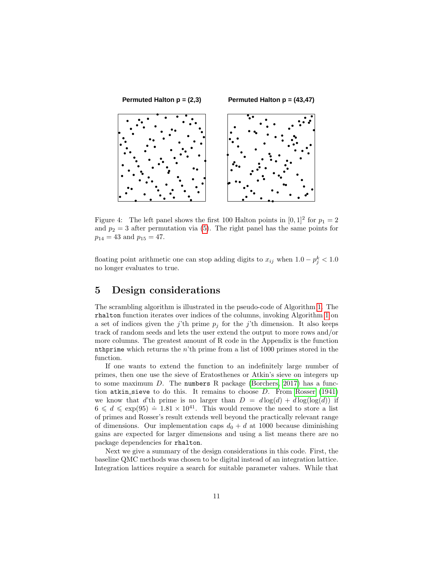

Figure 4: The left panel shows the first 100 Halton points in  $[0,1]^2$  for  $p_1 = 2$ and  $p_2 = 3$  after permutation via [\(5\)](#page-9-1). The right panel has the same points for  $p_{14} = 43$  and  $p_{15} = 47$ .

floating point arithmetic one can stop adding digits to  $x_{ij}$  when  $1.0 - p_j^k < 1.0$ no longer evaluates to true.

# <span id="page-10-0"></span>5 Design considerations

The scrambling algorithm is illustrated in the pseudo-code of Algorithm [1.](#page-11-0) The rhalton function iterates over indices of the columns, invoking Algorithm [1](#page-11-0) on a set of indices given the j'th prime  $p_j$  for the j'th dimension. It also keeps track of random seeds and lets the user extend the output to more rows and/or more columns. The greatest amount of R code in the Appendix is the function nthprime which returns the  $n<sup>th</sup>$  prime from a list of 1000 primes stored in the function.

If one wants to extend the function to an indefinitely large number of primes, then one use the sieve of Eratosthenes or Atkin's sieve on integers up to some maximum  $D$ . The numbers R package [\(Borchers, 2017\)](#page-21-12) has a function atkin sieve to do this. It remains to choose  $D$ . From [Rosser](#page-23-11) [\(1941\)](#page-23-11) we know that d'th prime is no larger than  $D = d \log(d) + d \log(\log(d))$  if  $6 \leq d \leq \exp(95) = 1.81 \times 10^{41}$ . This would remove the need to store a list of primes and Rosser's result extends well beyond the practically relevant range of dimensions. Our implementation caps  $d_0 + d$  at 1000 because diminishing gains are expected for larger dimensions and using a list means there are no package dependencies for rhalton.

Next we give a summary of the design considerations in this code. First, the baseline QMC methods was chosen to be digital instead of an integration lattice. Integration lattices require a search for suitable parameter values. While that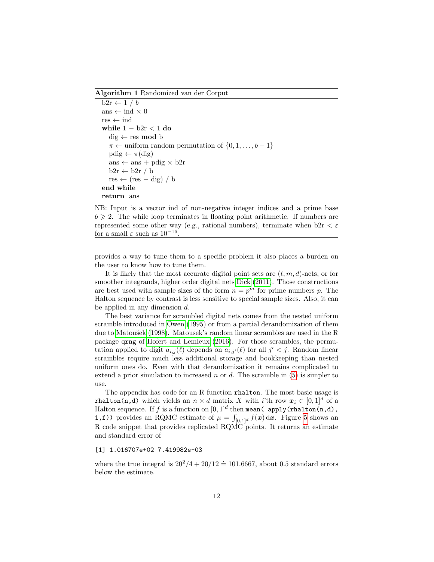<span id="page-11-0"></span>Algorithm 1 Randomized van der Corput

```
b2r \leftarrow 1/bans \leftarrow ind \times 0
res \leftarrow indwhile 1 - b2r < 1 do
   dig ← res mod b
   \pi \leftarrow uniform random permutation of \{0, 1, \ldots, b-1\}pdig \leftarrow \pi(dig)
   ans \leftarrow ans + pdig \times b2r
   b2r \leftarrow b2r / bres \leftarrow (res - dig) / bend while
return ans
```
NB: Input is a vector ind of non-negative integer indices and a prime base  $b \geqslant 2$ . The while loop terminates in floating point arithmetic. If numbers are represented some other way (e.g., rational numbers), terminate when  $b2r < \varepsilon$ for a small  $\varepsilon$  such as  $10^{-16}$ .

provides a way to tune them to a specific problem it also places a burden on the user to know how to tune them.

It is likely that the most accurate digital point sets are  $(t, m, d)$ -nets, or for smoother integrands, higher order digital nets [Dick](#page-21-13) [\(2011\)](#page-21-13). Those constructions are best used with sample sizes of the form  $n = p<sup>m</sup>$  for prime numbers p. The Halton sequence by contrast is less sensitive to special sample sizes. Also, it can be applied in any dimension d.

The best variance for scrambled digital nets comes from the nested uniform scramble introduced in [Owen](#page-22-6) [\(1995\)](#page-22-6) or from a partial derandomization of them due to Matoušek  $(1998)$ . Matousek's random linear scrambles are used in the R package qrng of [Hofert and Lemieux](#page-22-0) [\(2016\)](#page-22-0). For those scrambles, the permutation applied to digit  $a_{i,j}(\ell)$  depends on  $a_{i,j'}(\ell)$  for all  $j' < j$ . Random linear scrambles require much less additional storage and bookkeeping than nested uniform ones do. Even with that derandomization it remains complicated to extend a prior simulation to increased n or  $d$ . The scramble in  $(5)$  is simpler to use.

The appendix has code for an R function rhalton. The most basic usage is rhalton(n,d) which yields an  $n \times d$  matrix X with i'th row  $x_i \in [0, 1]^d$  of a Halton sequence. If f is a function on  $[0,1]^d$  then mean( apply(rhalton(n,d), **1,f)** provides an RQMC estimate of  $\mu = \int_{[0,1]^d} f(x) dx$ . Figure [5](#page-12-0) shows an R code snippet that provides replicated RQMC points. It returns an estimate and standard error of

#### [1] 1.016707e+02 7.419982e-03

where the true integral is  $20^2/4 + 20/12 = 101.6667$ , about 0.5 standard errors below the estimate.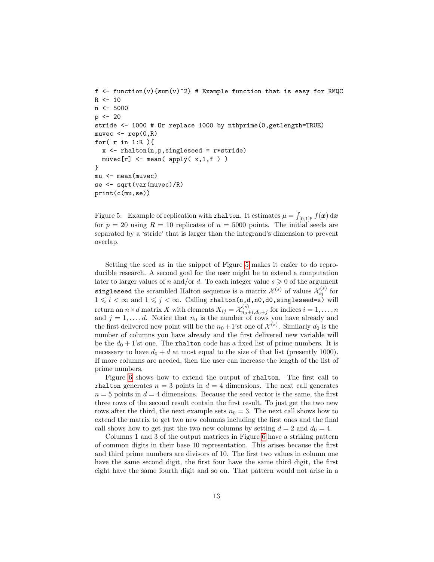```
f \leq function(v){sum(v)^2} # Example function that is easy for RMQC
R <- 10
n <- 5000
p \leftarrow 20stride <- 1000 # Or replace 1000 by nthprime(0,getlength=TRUE)
muvec \leq rep(0,R)for( r in 1:R ){
  x \leftarrow \text{rhalten}(n, p, \text{singleseed} = r * \text{stride})muvec[r] <- mean( apply( x, 1, f))
}
mu <- mean(muvec)
se <- sqrt(var(muvec)/R)
print(c(mu,se))
```
<span id="page-12-0"></span>Figure 5: Example of replication with rhalton. It estimates  $\mu = \int_{[0,1]^p} f(\boldsymbol{x}) \, \mathrm{d}\boldsymbol{x}$ for  $p = 20$  using  $R = 10$  replicates of  $n = 5000$  points. The initial seeds are separated by a 'stride' that is larger than the integrand's dimension to prevent overlap.

Setting the seed as in the snippet of Figure [5](#page-12-0) makes it easier to do reproducible research. A second goal for the user might be to extend a computation later to larger values of n and/or d. To each integer value  $s \geq 0$  of the argument singleseed the scrambled Halton sequence is a matrix  $\mathcal{X}^{(s)}$  of values  $\mathcal{X}^{(s)}_{ij}$  for  $1 \leqslant i < \infty$  and  $1 \leqslant j < \infty$ . Calling rhalton(n,d,n0,d0,singleseed=s) will return an  $n \times d$  matrix X with elements  $X_{ij} = \mathcal{X}_{n_0}^{(s)}$  $n_{0}^{(s)}$  for indices  $i = 1, \ldots, n$ and  $j = 1, \ldots, d$ . Notice that  $n_0$  is the number of rows you have already and the first delivered new point will be the  $n_0 + 1$ 'st one of  $\mathcal{X}^{(s)}$ . Similarly  $d_0$  is the number of columns you have already and the first delivered new variable will be the  $d_0 + 1$ 'st one. The rhalton code has a fixed list of prime numbers. It is necessary to have  $d_0 + d$  at most equal to the size of that list (presently 1000). If more columns are needed, then the user can increase the length of the list of prime numbers.

Figure [6](#page-13-1) shows how to extend the output of rhalton. The first call to rhalton generates  $n = 3$  points in  $d = 4$  dimensions. The next call generates  $n = 5$  points in  $d = 4$  dimensions. Because the seed vector is the same, the first three rows of the second result contain the first result. To just get the two new rows after the third, the next example sets  $n_0 = 3$ . The next call shows how to extend the matrix to get two new columns including the first ones and the final call shows how to get just the two new columns by setting  $d = 2$  and  $d_0 = 4$ .

Columns 1 and 3 of the output matrices in Figure [6](#page-13-1) have a striking pattern of common digits in their base 10 representation. This arises because the first and third prime numbers are divisors of 10. The first two values in column one have the same second digit, the first four have the same third digit, the first eight have the same fourth digit and so on. That pattern would not arise in a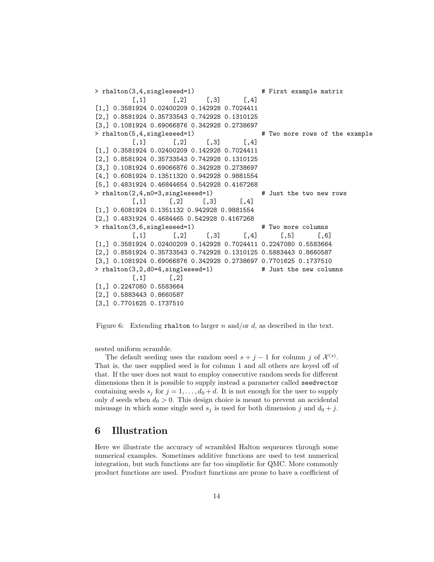```
> rhalton(3,4,singleseed=1) \qquad # First example matrix
         [0,1] [0,2] [0,3] [0,4][1,] 0.3581924 0.02400209 0.142928 0.7024411
[2,] 0.8581924 0.35733543 0.742928 0.1310125
[3,] 0.1081924 0.69066876 0.342928 0.2738697
> rhalton(5,4,singleseed=1) \qquad # Two more rows of the example
         [0,1] [0,2] [0,3] [0,4][1,] 0.3581924 0.02400209 0.142928 0.7024411
[2,] 0.8581924 0.35733543 0.742928 0.1310125
[3,] 0.1081924 0.69066876 0.342928 0.2738697
[4,] 0.6081924 0.13511320 0.942928 0.9881554
[5,] 0.4831924 0.46844654 0.542928 0.4167268
> rhalton(2,4,n0=3,singleseed=1) # Just the two new rows
         [,1] [,2] [,3] [,4]
[1,] 0.6081924 0.1351132 0.942928 0.9881554
[2,] 0.4831924 0.4684465 0.542928 0.4167268
> rhalton(3,6,singleseed=1) # Two more columns
         [0,1] [0,2] [0,3] [0,4] [0,5] [0,6][1,] 0.3581924 0.02400209 0.142928 0.7024411 0.2247080 0.5583664
[2,] 0.8581924 0.35733543 0.742928 0.1310125 0.5883443 0.8660587
[3,] 0.1081924 0.69066876 0.342928 0.2738697 0.7701625 0.1737510
> rhalton(3,2,d0=4,singleseed=1) # Just the new columns
         [,1] [,2][1,] 0.2247080 0.5583664
[2,] 0.5883443 0.8660587
[3,] 0.7701625 0.1737510
```
<span id="page-13-1"></span>Figure 6: Extending rhalton to larger n and/or d, as described in the text.

nested uniform scramble.

The default seeding uses the random seed  $s + j - 1$  for column j of  $\mathcal{X}^{(s)}$ . That is, the user supplied seed is for column 1 and all others are keyed off of that. If the user does not want to employ consecutive random seeds for different dimensions then it is possible to supply instead a parameter called seedvector containing seeds  $s_j$  for  $j = 1, ..., d_0 + d$ . It is not enough for the user to supply only d seeds when  $d_0 > 0$ . This design choice is meant to prevent an accidental misusage in which some single seed  $s_i$  is used for both dimension j and  $d_0 + j$ .

## <span id="page-13-0"></span>6 Illustration

Here we illustrate the accuracy of scrambled Halton sequences through some numerical examples. Sometimes additive functions are used to test numerical integration, but such functions are far too simplistic for QMC. More commonly product functions are used. Product functions are prone to have a coefficient of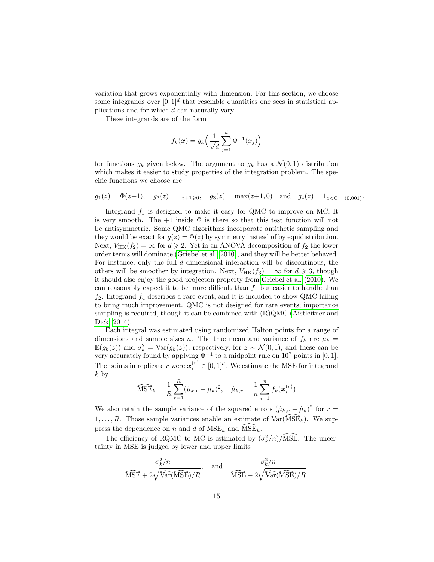variation that grows exponentially with dimension. For this section, we choose some integrands over  $[0,1]^d$  that resemble quantities one sees in statistical applications and for which d can naturally vary.

These integrands are of the form

$$
f_k(\boldsymbol{x}) = g_k\Big(\frac{1}{\sqrt{d}}\sum_{j=1}^d \Phi^{-1}(x_j)\Big)
$$

for functions  $g_k$  given below. The argument to  $g_k$  has a  $\mathcal{N}(0,1)$  distribution which makes it easier to study properties of the integration problem. The specific functions we choose are

$$
g_1(z) = \Phi(z+1)
$$
,  $g_2(z) = 1_{z+1\geq 0}$ ,  $g_3(z) = \max(z+1,0)$  and  $g_4(z) = 1_{z<\Phi^{-1}(0.001)}$ .

Integrand  $f_1$  is designed to make it easy for QMC to improve on MC. It is very smooth. The  $+1$  inside  $\Phi$  is there so that this test function will not be antisymmetric. Some QMC algorithms incorporate antithetic sampling and they would be exact for  $g(z) = \Phi(z)$  by symmetry instead of by equidistribution. Next,  $V_{HK}(f_2) = \infty$  for  $d \ge 2$ . Yet in an ANOVA decomposition of  $f_2$  the lower order terms will dominate [\(Griebel et al., 2010\)](#page-22-11), and they will be better behaved. For instance, only the full  $d$  dimensional interaction will be discontinous, the others will be smoother by integration. Next,  $V_{HK}(f_3) = \infty$  for  $d \geq 3$ , though it should also enjoy the good projecton property from [Griebel et al.](#page-22-11) [\(2010\)](#page-22-11). We can reasonably expect it to be more difficult than  $f_1$  but easier to handle than  $f_2$ . Integrand  $f_4$  describes a rare event, and it is included to show QMC failing to bring much improvement. QMC is not designed for rare events; importance sampling is required, though it can be combined with (R)QMC [\(Aistleitner and](#page-20-0) [Dick, 2014\)](#page-20-0).

Each integral was estimated using randomized Halton points for a range of dimensions and sample sizes n. The true mean and variance of  $f_k$  are  $\mu_k =$  $\mathbb{E}(g_k(z))$  and  $\sigma_k^2 = \text{Var}(g_k(z))$ , respectively, for  $z \sim \mathcal{N}(0, 1)$ , and these can be very accurately found by applying  $\Phi^{-1}$  to a midpoint rule on  $10^7$  points in [0, 1]. The points in replicate r were  $\mathbf{x}_i^{(r)} \in [0,1]^d$ . We estimate the MSE for integrand  $k$  by

$$
\widehat{\text{MSE}}_k = \frac{1}{R} \sum_{r=1}^R (\hat{\mu}_{k,r} - \mu_k)^2, \quad \hat{\mu}_{k,r} = \frac{1}{n} \sum_{i=1}^n f_k(\boldsymbol{x}_i^{(r)})
$$

We also retain the sample variance of the squared errors  $(\hat{\mu}_{k,r} - \hat{\mu}_k)^2$  for  $r =$  $1, \ldots, R$ . Those sample variances enable an estimate of  $\text{Var}(\text{MSE}_k)$ . We suppress the dependence on n and d of  $MSE_k$  and  $MSE_k$ .

The efficiency of RQMC to MC is estimated by  $(\sigma_k^2/n)/\widehat{\text{MSE}}$ . The uncertainty in MSE is judged by lower and upper limits

$$
\frac{\sigma_k^2/n}{\widehat{\text{MSE}} + 2\sqrt{\widehat{\text{Var}}(\widehat{\text{MSE}})/R}}, \quad \text{and} \quad \frac{\sigma_k^2/n}{\widehat{\text{MSE}} - 2\sqrt{\widehat{\text{Var}}(\widehat{\text{MSE}})/R}}.
$$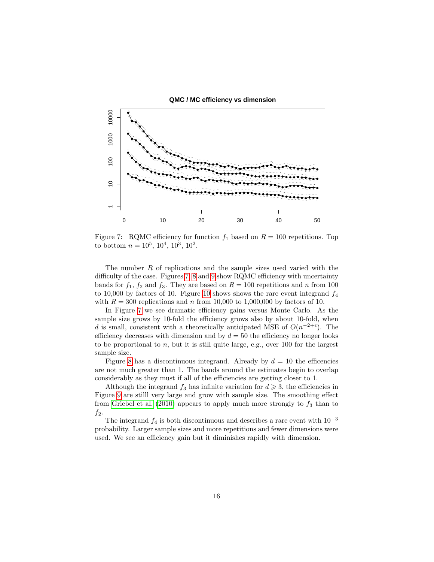**QMC / MC efficiency vs dimension**



<span id="page-15-0"></span>Figure 7: RQMC efficiency for function  $f_1$  based on  $R = 100$  repetitions. Top to bottom  $n = 10^5, 10^4, 10^3, 10^2$ .

The number  $R$  of replications and the sample sizes used varied with the difficulty of the case. Figures [7,](#page-15-0) [8](#page-16-0) and [9](#page-16-1) show RQMC efficiency with uncertainty bands for  $f_1$ ,  $f_2$  and  $f_3$ . They are based on  $R = 100$  repetitions and n from 100 to [10](#page-17-0),000 by factors of 10. Figure 10 shows shows the rare event integrand  $f_4$ with  $R = 300$  replications and n from 10,000 to 1,000,000 by factors of 10.

In Figure [7](#page-15-0) we see dramatic efficiency gains versus Monte Carlo. As the sample size grows by 10-fold the efficiency grows also by about 10-fold, when d is small, consistent with a theoretically anticipated MSE of  $O(n^{-2+\epsilon})$ . The efficiency decreases with dimension and by  $d = 50$  the efficiency no longer looks to be proportional to  $n$ , but it is still quite large, e.g., over 100 for the largest sample size.

Figure [8](#page-16-0) has a discontinuous integrand. Already by  $d = 10$  the efficencies are not much greater than 1. The bands around the estimates begin to overlap considerably as they must if all of the efficiencies are getting closer to 1.

Although the integrand  $f_3$  has infinite variation for  $d \geq 3$ , the efficiencies in Figure [9](#page-16-1) are stilll very large and grow with sample size. The smoothing effect from [Griebel et al.](#page-22-11) [\(2010\)](#page-22-11) appears to apply much more strongly to  $f_3$  than to  $f_2$ .

The integrand  $f_4$  is both discontinuous and describes a rare event with  $10^{-3}$ probability. Larger sample sizes and more repetitions and fewer dimensions were used. We see an efficiency gain but it diminishes rapidly with dimension.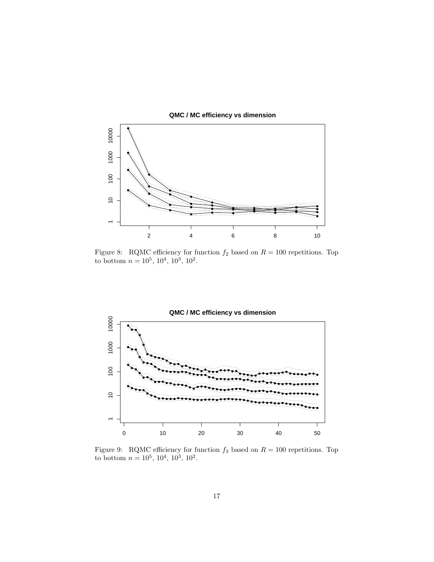

**QMC / MC efficiency vs dimension**

<span id="page-16-0"></span>Figure 8: RQMC efficiency for function  $f_2$  based on  $R = 100$  repetitions. Top to bottom  $n = 10^5, 10^4, 10^3, 10^2$ .



<span id="page-16-1"></span>Figure 9: RQMC efficiency for function  $f_3$  based on  $R = 100$  repetitions. Top to bottom  $n = 10^5, 10^4, 10^3, 10^2$ .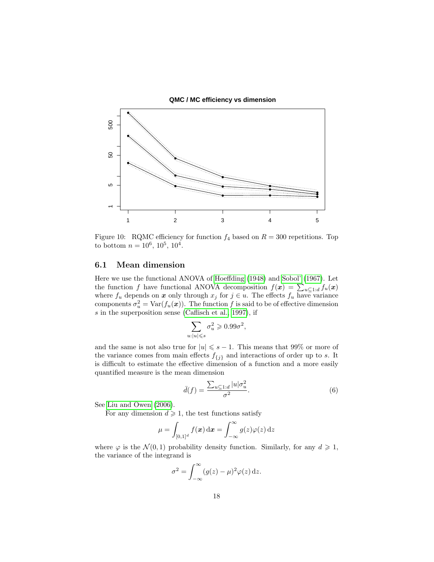**QMC / MC efficiency vs dimension**



<span id="page-17-0"></span>Figure 10: RQMC efficiency for function  $f_4$  based on  $R = 300$  repetitions. Top to bottom  $n = 10^6, 10^5, 10^4$ .

#### 6.1 Mean dimension

Here we use the functional ANOVA of [Hoeffding](#page-22-1) [\(1948\)](#page-22-1) and [Sobol'](#page-23-4) [\(1967\)](#page-23-4). Let the function f have functional ANOVA decomposition  $f(\mathbf{x}) = \sum_{u \subseteq 1:d} f_u(\mathbf{x})$ where  $f_u$  depends on x only through  $x_j$  for  $j \in u$ . The effects  $f_u$  have variance components  $\sigma_u^2 = \text{Var}(f_u(\boldsymbol{x}))$ . The function f is said to be of effective dimension s in the superposition sense [\(Caflisch et al., 1997\)](#page-21-3), if

$$
\sum_{u:|u|\leqslant s} \sigma_u^2 \geqslant 0.99\sigma^2,
$$

and the same is not also true for  $|u| \leq s - 1$ . This means that 99% or more of the variance comes from main effects  $f_{\{j\}}$  and interactions of order up to s. It is difficult to estimate the effective dimension of a function and a more easily quantified measure is the mean dimension

<span id="page-17-1"></span>
$$
\bar{d}(f) = \frac{\sum_{u \subseteq 1:d} |u|\sigma_u^2}{\sigma^2}.
$$
\n(6)

See [Liu and Owen](#page-22-12) [\(2006\)](#page-22-12).

For any dimension  $d \geq 1$ , the test functions satisfy

$$
\mu = \int_{[0,1]^d} f(\boldsymbol{x}) \, \mathrm{d}\boldsymbol{x} = \int_{-\infty}^{\infty} g(z) \varphi(z) \, \mathrm{d}z
$$

where  $\varphi$  is the  $\mathcal{N}(0, 1)$  probability density function. Similarly, for any  $d \geq 1$ , the variance of the integrand is

$$
\sigma^2 = \int_{-\infty}^{\infty} (g(z) - \mu)^2 \varphi(z) \,\mathrm{d}z.
$$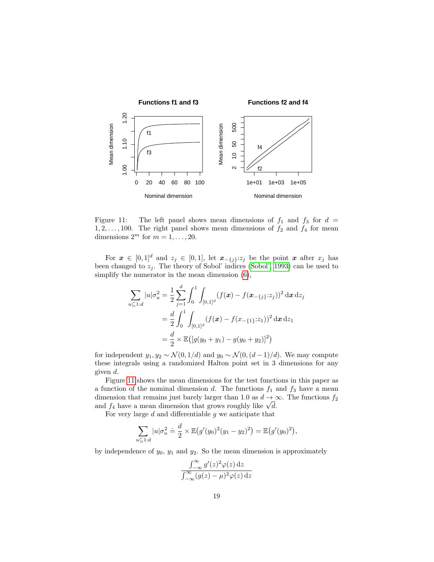

<span id="page-18-0"></span>Figure 11: The left panel shows mean dimensions of  $f_1$  and  $f_3$  for  $d =$  $1, 2, \ldots, 100$ . The right panel shows mean dimensions of  $f_2$  and  $f_4$  for mean dimensions  $2^m$  for  $m = 1, \ldots, 20$ .

For  $x \in [0,1]^d$  and  $z_j \in [0,1]$ , let  $x_{-\{j\}}:z_j$  be the point x after  $x_j$  has been changed to  $z_i$ . The theory of Sobol' indices [\(Sobol', 1993\)](#page-23-12) can be used to simplify the numerator in the mean dimension [\(6\)](#page-17-1),

$$
\sum_{u \subseteq 1:d} |u|\sigma_u^2 = \frac{1}{2} \sum_{j=1}^d \int_0^1 \int_{[0,1]^d} (f(\mathbf{x}) - f(\mathbf{x}_{-\{j\}}; z_j))^2 \,d\mathbf{x} \,dz_j
$$
  
= 
$$
\frac{d}{2} \int_0^1 \int_{[0,1]^d} (f(\mathbf{x}) - f(\mathbf{x}_{-\{1\}}; z_1))^2 \,d\mathbf{x} \,dz_1
$$
  
= 
$$
\frac{d}{2} \times \mathbb{E}([g(y_0 + y_1) - g(y_0 + y_2)]^2)
$$

for independent  $y_1, y_2 \sim \mathcal{N}(0, 1/d)$  and  $y_0 \sim \mathcal{N}(0, (d-1)/d)$ . We may compute these integrals using a randomized Halton point set in 3 dimensions for any given d.

Figure [11](#page-18-0) shows the mean dimensions for the test functions in this paper as a function of the nominal dimension d. The functions  $f_1$  and  $f_3$  have a mean dimension that remains just barely larger than 1.0 as  $d \to \infty$ . The functions  $f_2$ dimension that remains just barely larger than 1.0 as  $d \to \infty$  and  $f_4$  have a mean dimension that grows roughly like  $\sqrt{d}$ .

For very large  $d$  and differentiable  $g$  we anticipate that

$$
\sum_{u \subseteq 1:d} |u|\sigma_u^2 \doteq \frac{d}{2} \times \mathbb{E}(g'(y_0)^2(y_1-y_2)^2) = \mathbb{E}(g'(y_0)^2),
$$

by independence of  $y_0$ ,  $y_1$  and  $y_2$ . So the mean dimension is approximately

$$
\frac{\int_{-\infty}^{\infty} g'(z)^2 \varphi(z) dz}{\int_{-\infty}^{\infty} (g(z) - \mu)^2 \varphi(z) dz}
$$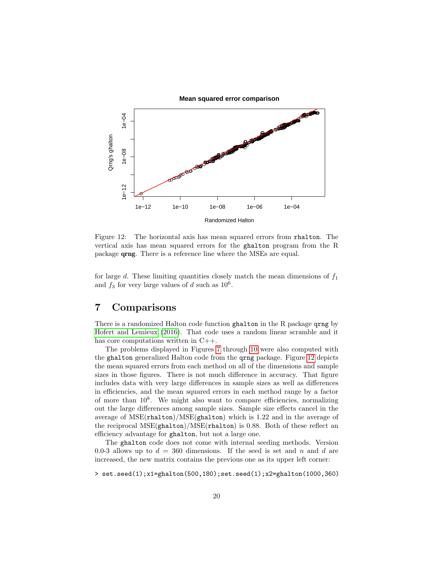

<span id="page-19-1"></span>Figure 12: The horizontal axis has mean squared errors from rhalton. The vertical axis has mean squared errors for the ghalton program from the R package qrng. There is a reference line where the MSEs are equal.

for large d. These limiting quantities closely match the mean dimensions of  $f_1$ and  $f_3$  for very large values of d such as  $10^6$ .

# <span id="page-19-0"></span>7 Comparisons

There is a randomized Halton code function ghalton in the R package qrng by [Hofert and Lemieux](#page-22-0) [\(2016\)](#page-22-0). That code uses a random linear scramble and it has core computations written in  $C_{++}$ .

The problems displayed in Figures [7](#page-15-0) through [10](#page-17-0) were also computed with the ghalton generalized Halton code from the qrng package. Figure [12](#page-19-1) depicts the mean squared errors from each method on all of the dimensions and sample sizes in those figures. There is not much difference in accuracy. That figure includes data with very large differences in sample sizes as well as differences in efficiencies, and the mean squared errors in each method range by a factor of more than 10<sup>8</sup> . We might also want to compare efficiencies, normalizing out the large differences among sample sizes. Sample size effects cancel in the average of MSE(rhalton)/MSE(ghalton) which is 1.22 and in the average of the reciprocal  $MSE(ghalton)/MSE(rhalton)$  is 0.88. Both of these reflect an efficiency advantage for ghalton, but not a large one.

The ghalton code does not come with internal seeding methods. Version 0.0-3 allows up to  $d = 360$  dimensions. If the seed is set and n and d are increased, the new matrix contains the previous one as its upper left corner:

 $> set. seed(1); x1=ghalton(500,180); set. seed(1); x2=ghalton(1000,360)$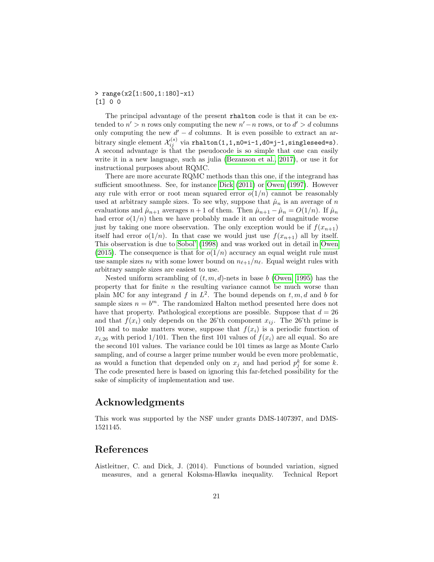#### > range(x2[1:500,1:180]-x1) [1] 0 0

The principal advantage of the present rhalton code is that it can be extended to  $n' > n$  rows only computing the new  $n' - n$  rows, or to  $d' > d$  columns only computing the new  $d' - d$  columns. It is even possible to extract an arbitrary single element  $\mathcal{X}_{ij}^{(s)}$  via  ${\tt rhalton(1,1,n0=i-1,d0=j-1,singlessed=s)}$ . A second advantage is that the pseudocode is so simple that one can easily write it in a new language, such as julia [\(Bezanson et al., 2017\)](#page-21-14), or use it for instructional purposes about RQMC.

There are more accurate RQMC methods than this one, if the integrand has sufficient smoothness. See, for instance [Dick](#page-21-13) [\(2011\)](#page-21-13) or [Owen](#page-22-13) [\(1997\)](#page-22-13). However any rule with error or root mean squared error  $o(1/n)$  cannot be reasonably used at arbitrary sample sizes. To see why, suppose that  $\hat{\mu}_n$  is an average of n evaluations and  $\hat{\mu}_{n+1}$  averages  $n+1$  of them. Then  $\hat{\mu}_{n+1} - \hat{\mu}_n = O(1/n)$ . If  $\hat{\mu}_n$ had error  $o(1/n)$  then we have probably made it an order of magnitude worse just by taking one more observation. The only exception would be if  $f(x_{n+1})$ itself had error  $o(1/n)$ . In that case we would just use  $f(x_{n+1})$  all by itself. This observation is due to [Sobol'](#page-23-7) [\(1998\)](#page-23-7) and was worked out in detail in [Owen](#page-23-13) [\(2015\)](#page-23-13). The consequence is that for  $o(1/n)$  accuracy an equal weight rule must use sample sizes  $n_\ell$  with some lower bound on  $n_{\ell+1}/n_\ell$ . Equal weight rules with arbitrary sample sizes are easiest to use.

Nested uniform scrambling of  $(t, m, d)$ -nets in base b [\(Owen, 1995\)](#page-22-6) has the property that for finite  $n$  the resulting variance cannot be much worse than plain MC for any integrand f in  $L^2$ . The bound depends on  $t, m, d$  and b for sample sizes  $n = b^m$ . The randomized Halton method presented here does not have that property. Pathological exceptions are possible. Suppose that  $d = 26$ and that  $f(x_i)$  only depends on the 26'th component  $x_{ij}$ . The 26'th prime is 101 and to make matters worse, suppose that  $f(x_i)$  is a periodic function of  $x_{i,26}$  with period 1/101. Then the first 101 values of  $f(x_i)$  are all equal. So are the second 101 values. The variance could be 101 times as large as Monte Carlo sampling, and of course a larger prime number would be even more problematic, as would a function that depended only on  $x_j$  and had period  $p_j^k$  for some k. The code presented here is based on ignoring this far-fetched possibility for the sake of simplicity of implementation and use.

#### Acknowledgments

This work was supported by the NSF under grants DMS-1407397, and DMS-1521145.

### References

<span id="page-20-0"></span>Aistleitner, C. and Dick, J. (2014). Functions of bounded variation, signed measures, and a general Koksma-Hlawka inequality. Technical Report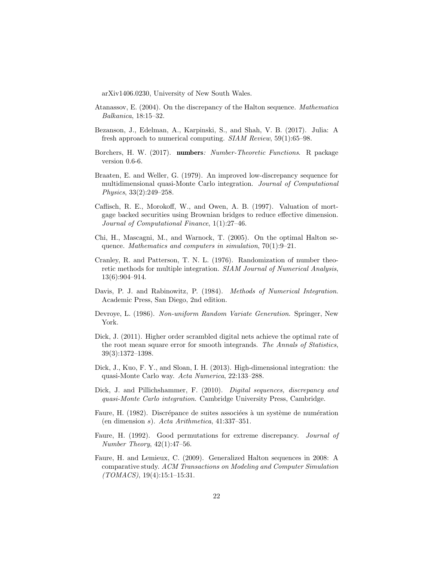arXiv1406.0230, University of New South Wales.

- <span id="page-21-5"></span>Atanassov, E. (2004). On the discrepancy of the Halton sequence. Mathematica Balkanica, 18:15–32.
- <span id="page-21-14"></span>Bezanson, J., Edelman, A., Karpinski, S., and Shah, V. B. (2017). Julia: A fresh approach to numerical computing. SIAM Review, 59(1):65–98.
- <span id="page-21-12"></span>Borchers, H. W. (2017). numbers: Number-Theoretic Functions. R package version 0.6-6.
- <span id="page-21-9"></span>Braaten, E. and Weller, G. (1979). An improved low-discrepancy sequence for multidimensional quasi-Monte Carlo integration. Journal of Computational Physics, 33(2):249–258.
- <span id="page-21-3"></span>Caflisch, R. E., Morokoff, W., and Owen, A. B. (1997). Valuation of mortgage backed securities using Brownian bridges to reduce effective dimension. Journal of Computational Finance, 1(1):27–46.
- <span id="page-21-11"></span>Chi, H., Mascagni, M., and Warnock, T. (2005). On the optimal Halton sequence. Mathematics and computers in simulation, 70(1):9–21.
- <span id="page-21-7"></span>Cranley, R. and Patterson, T. N. L. (1976). Randomization of number theoretic methods for multiple integration. SIAM Journal of Numerical Analysis, 13(6):904–914.
- <span id="page-21-1"></span>Davis, P. J. and Rabinowitz, P. (1984). Methods of Numerical Integration. Academic Press, San Diego, 2nd edition.
- <span id="page-21-2"></span>Devroye, L. (1986). Non-uniform Random Variate Generation. Springer, New York.
- <span id="page-21-13"></span>Dick, J. (2011). Higher order scrambled digital nets achieve the optimal rate of the root mean square error for smooth integrands. The Annals of Statistics, 39(3):1372–1398.
- <span id="page-21-0"></span>Dick, J., Kuo, F. Y., and Sloan, I. H. (2013). High-dimensional integration: the quasi-Monte Carlo way. Acta Numerica, 22:133–288.
- <span id="page-21-4"></span>Dick, J. and Pillichshammer, F. (2010). Digital sequences, discrepancy and quasi-Monte Carlo integration. Cambridge University Press, Cambridge.
- <span id="page-21-8"></span>Faure, H. (1982). Discrépance de suites associées à un système de numération (en dimension s). Acta Arithmetica, 41:337–351.
- <span id="page-21-10"></span>Faure, H. (1992). Good permutations for extreme discrepancy. Journal of Number Theory, 42(1):47–56.
- <span id="page-21-6"></span>Faure, H. and Lemieux, C. (2009). Generalized Halton sequences in 2008: A comparative study. ACM Transactions on Modeling and Computer Simulation (TOMACS), 19(4):15:1–15:31.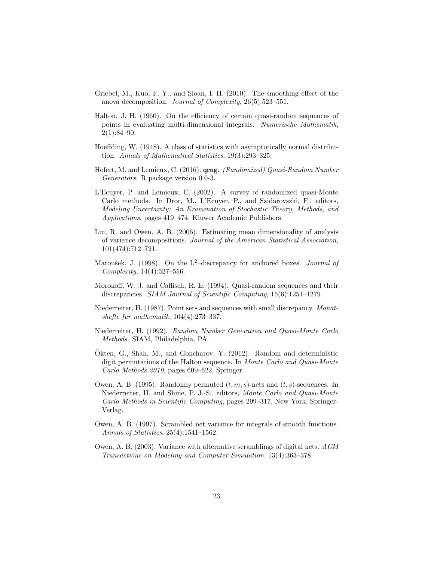- <span id="page-22-11"></span>Griebel, M., Kuo, F. Y., and Sloan, I. H. (2010). The smoothing effect of the anova decomposition. Journal of Complexity, 26(5):523–551.
- <span id="page-22-7"></span>Halton, J. H. (1960). On the efficiency of certain quasi-random sequences of points in evaluating multi-dimensional integrals. Numerische Mathematik,  $2(1):84-90.$
- <span id="page-22-1"></span>Hoeffding, W. (1948). A class of statistics with asymptotically normal distribution. Annals of Mathematical Statistics, 19(3):293–325.
- <span id="page-22-0"></span>Hofert, M. and Lemieux, C. (2016). qrng: (Randomized) Quasi-Random Number Generators. R package version 0.0-3.
- <span id="page-22-3"></span>L'Ecuyer, P. and Lemieux, C. (2002). A survey of randomized quasi-Monte Carlo methods. In Dror, M., L'Ecuyer, P., and Szidarovszki, F., editors, Modeling Uncertainty: An Examination of Stochastic Theory, Methods, and Applications, pages 419–474. Kluwer Academic Publishers.
- <span id="page-22-12"></span>Liu, R. and Owen, A. B. (2006). Estimating mean dimensionality of analysis of variance decompositions. Journal of the American Statistical Association, 101(474):712–721.
- <span id="page-22-10"></span>Matoušek, J. (1998). On the  $L^2$ -discrepancy for anchored boxes. *Journal of* Complexity, 14(4):527–556.
- <span id="page-22-2"></span>Morokoff, W. J. and Caflisch, R. E. (1994). Quasi-random sequences and their discrepancies. SIAM Journal of Scientific Computing, 15(6):1251–1279.
- <span id="page-22-4"></span>Niederreiter, H. (1987). Point sets and sequences with small discrepancy. Monatshefte fur mathematik, 104(4):273–337.
- <span id="page-22-8"></span>Niederreiter, H. (1992). Random Number Generation and Quasi-Monte Carlo Methods. SIAM, Philadelphia, PA.
- <span id="page-22-9"></span>Okten, G., Shah, M., and Goncharov, Y.  $(2012)$ . Random and deterministic digit permutations of the Halton sequence. In Monte Carlo and Quasi-Monte Carlo Methods 2010, pages 609–622. Springer.
- <span id="page-22-6"></span>Owen, A. B. (1995). Randomly permuted  $(t, m, s)$ -nets and  $(t, s)$ -sequences. In Niederreiter, H. and Shiue, P. J.-S., editors, Monte Carlo and Quasi-Monte Carlo Methods in Scientific Computing, pages 299–317, New York. Springer-Verlag.
- <span id="page-22-13"></span>Owen, A. B. (1997). Scrambled net variance for integrals of smooth functions. Annals of Statistics, 25(4):1541–1562.
- <span id="page-22-5"></span>Owen, A. B. (2003). Variance with alternative scramblings of digital nets. ACM Transactions on Modeling and Computer Simulation, 13(4):363–378.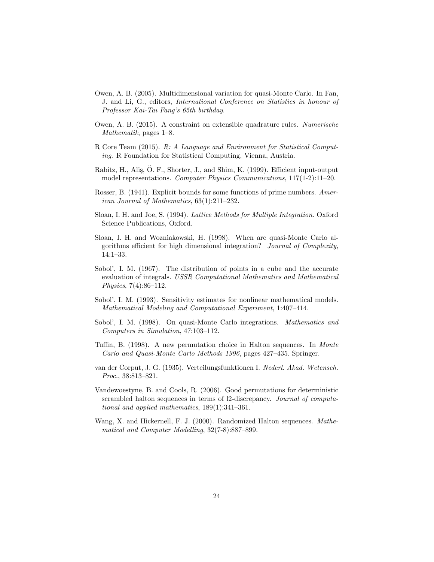- <span id="page-23-3"></span>Owen, A. B. (2005). Multidimensional variation for quasi-Monte Carlo. In Fan, J. and Li, G., editors, International Conference on Statistics in honour of Professor Kai-Tai Fang's 65th birthday.
- <span id="page-23-13"></span>Owen, A. B. (2015). A constraint on extensible quadrature rules. Numerische Mathematik, pages 1–8.
- <span id="page-23-1"></span>R Core Team (2015). R: A Language and Environment for Statistical Computing. R Foundation for Statistical Computing, Vienna, Austria.
- <span id="page-23-5"></span>Rabitz, H., Alis, Ö. F., Shorter, J., and Shim, K. (1999). Efficient input-output model representations. Computer Physics Communications, 117(1-2):11–20.
- <span id="page-23-11"></span>Rosser, B. (1941). Explicit bounds for some functions of prime numbers. American Journal of Mathematics, 63(1):211–232.
- <span id="page-23-6"></span>Sloan, I. H. and Joe, S. (1994). Lattice Methods for Multiple Integration. Oxford Science Publications, Oxford.
- <span id="page-23-0"></span>Sloan, I. H. and Wozniakowski, H. (1998). When are quasi-Monte Carlo algorithms efficient for high dimensional integration? Journal of Complexity, 14:1–33.
- <span id="page-23-4"></span>Sobol', I. M. (1967). The distribution of points in a cube and the accurate evaluation of integrals. USSR Computational Mathematics and Mathematical Physics, 7(4):86–112.
- <span id="page-23-12"></span>Sobol', I. M. (1993). Sensitivity estimates for nonlinear mathematical models. Mathematical Modeling and Computational Experiment, 1:407–414.
- <span id="page-23-7"></span>Sobol', I. M. (1998). On quasi-Monte Carlo integrations. Mathematics and Computers in Simulation, 47:103–112.
- <span id="page-23-9"></span>Tuffin, B. (1998). A new permutation choice in Halton sequences. In Monte Carlo and Quasi-Monte Carlo Methods 1996, pages 427–435. Springer.
- <span id="page-23-8"></span>van der Corput, J. G. (1935). Verteilungsfunktionen I. Nederl. Akad. Wetensch. Proc., 38:813–821.
- <span id="page-23-10"></span>Vandewoestyne, B. and Cools, R. (2006). Good permutations for deterministic scrambled halton sequences in terms of l2-discrepancy. Journal of computational and applied mathematics, 189(1):341–361.
- <span id="page-23-2"></span>Wang, X. and Hickernell, F. J. (2000). Randomized Halton sequences. Mathematical and Computer Modelling, 32(7-8):887–899.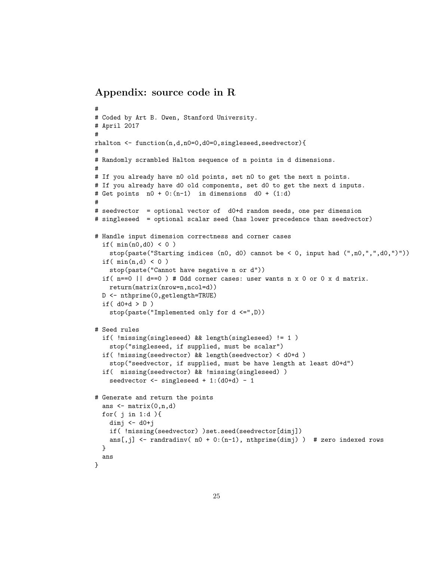### Appendix: source code in R

```
#
# Coded by Art B. Owen, Stanford University.
# April 2017
#
rhalton <- function(n,d,n0=0,d0=0,singleseed,seedvector){
#
# Randomly scrambled Halton sequence of n points in d dimensions.
#
# If you already have n0 old points, set n0 to get the next n points.
# If you already have d0 old components, set d0 to get the next d inputs.
# Get points n0 + 0:(n-1) in dimensions d0 + (1:d)#
# seedvector = optional vector of d0+d random seeds, one per dimension
# singleseed = optional scalar seed (has lower precedence than seedvector)
# Handle input dimension correctness and corner cases
  if(min(n0,d0) < 0)
   stop(paste("Starting indices (n0, d0) cannot be < 0, input had (",n0,",",d0,")"))
  if(min(n,d) < 0)
    stop(paste("Cannot have negative n or d"))
  if( n==0 || d==0 ) # Odd corner cases: user wants n x 0 or 0 x d matrix.
   return(matrix(nrow=n,ncol=d))
 D <- nthprime(0,getlength=TRUE)
  if( d0+d > D )
    stop(paste("Implemented only for d <=",D))
# Seed rules
  if( !missing(singleseed) && length(singleseed) != 1 )
    stop("singleseed, if supplied, must be scalar")
  if( !missing(seedvector) && length(seedvector) < d0+d )
    stop("seedvector, if supplied, must be have length at least d0+d")
  if( missing(seedvector) && !missing(singleseed) )
    seedvector \le singleseed + 1: (d0+d) - 1
# Generate and return the points
  ans \leftarrow matrix(0, n, d)for( j in 1:d ){
   dimj \leftarrow d0+jif( !missing(seedvector) )set.seed(seedvector[dimj])
   ans[,j] \le randradinv( n0 + 0:(n-1), nthprime(dimj) ) # zero indexed rows
 }
  ans
}
```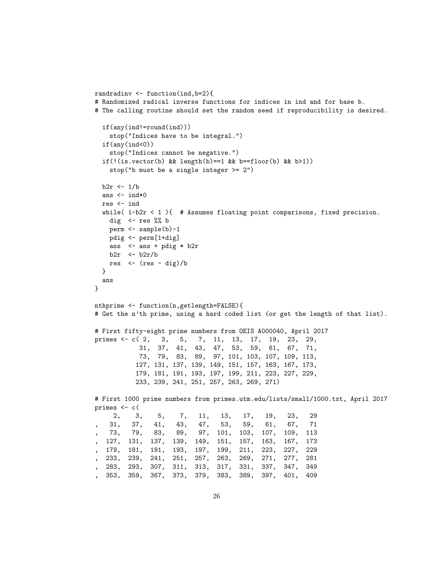```
randradinv <- function(ind,b=2){
# Randomized radical inverse functions for indices in ind and for base b.
# The calling routine should set the random seed if reproducibility is desired.
  if(any(ind!=round(ind)))
   stop("Indices have to be integral.")
  if(any(ind<0))stop("Indices cannot be negative.")
 if(!(is.vector(b) && length(b) == 1 && b == floor(b) && b>1))
   stop("b must be a single integer >= 2")
 b2r \leftarrow 1/bans <- ind*0res <- ind
 while( 1-b2r < 1){ # Assumes floating point comparisons, fixed precision.
   dig \leq res %% b
   perm <- sample(b)-1
   pdig <- perm[1+dig]
   ans <- ans + pdig * b2r
   b2r \leq b2r/bres \leftarrow (res - dig)/b
 }
 ans
}
nthprime <- function(n,getlength=FALSE){
# Get the n'th prime, using a hard coded list (or get the length of that list).
# First fifty-eight prime numbers from OEIS A000040, April 2017
primes <- c( 2, 3, 5, 7, 11, 13, 17, 19, 23, 29,
           31, 37, 41, 43, 47, 53, 59, 61, 67, 71,
           73, 79, 83, 89, 97, 101, 103, 107, 109, 113,
          127, 131, 137, 139, 149, 151, 157, 163, 167, 173,
          179, 181, 191, 193, 197, 199, 211, 223, 227, 229,
          233, 239, 241, 251, 257, 263, 269, 271)
# First 1000 prime numbers from primes.utm.edu/lists/small/1000.txt, April 2017
primes <- c(
     2, 3, 5, 7, 11, 13, 17, 19, 23, 29
, 31, 37, 41, 43, 47, 53, 59, 61, 67, 71
   , 73, 79, 83, 89, 97, 101, 103, 107, 109, 113
  , 127, 131, 137, 139, 149, 151, 157, 163, 167, 173
  , 179, 181, 191, 193, 197, 199, 211, 223, 227, 229
, 233, 239, 241, 251, 257, 263, 269, 271, 277, 281
, 283, 293, 307, 311, 313, 317, 331, 337, 347, 349
 , 353, 359, 367, 373, 379, 383, 389, 397, 401, 409
```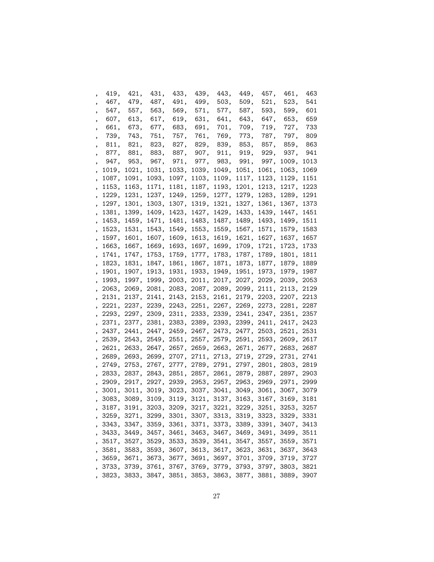| ,                        | 419, | 421,                          | 431, | 433, | 439, | 443,      | 449,                                                         | 457,        | 461,       | 463  |
|--------------------------|------|-------------------------------|------|------|------|-----------|--------------------------------------------------------------|-------------|------------|------|
|                          |      | 467, 479,                     | 487, | 491, | 499, | 503,      | 509,                                                         | 521,        | 523,       | 541  |
| ,                        | 547, | 557,                          | 563, | 569, | 571, | 577,      | 587,                                                         | 593,        | 599,       | 601  |
| ,                        |      | 607, 613,                     | 617, | 619, | 631, | 641,      | 643,                                                         | 647,        | 653,       | 659  |
| ,                        |      | 661, 673,                     | 677, | 683, | 691, | 701,      | 709,                                                         | 719,        | 727,       | 733  |
| ,                        | 739, | 743,                          | 751, | 757, | 761, | 769,      | 773,                                                         | 787,        | 797,       | 809  |
| ,                        |      | 811, 821,                     | 823, | 827, | 829, | 839,      | 853,                                                         | 857,        | 859,       | 863  |
| ,                        |      | 877, 881,                     | 883, | 887, | 907, | 911,      | 919,                                                         | 929,        | 937,       | 941  |
| ,                        | 947, | 953,                          | 967, | 971, |      | 977, 983, | 991,                                                         |             | 997, 1009, | 1013 |
| ,                        |      | 1019, 1021, 1031, 1033, 1039, |      |      |      | 1049,     |                                                              | 1051, 1061, | 1063,      | 1069 |
| ,                        |      | 1087, 1091, 1093, 1097, 1103, |      |      |      |           | 1109, 1117, 1123,                                            |             | 1129,      | 1151 |
| ,                        |      | 1153, 1163, 1171, 1181, 1187, |      |      |      |           | 1193, 1201, 1213, 1217,                                      |             |            | 1223 |
| ,                        |      |                               |      |      |      |           | 1229, 1231, 1237, 1249, 1259, 1277, 1279, 1283, 1289,        |             |            | 1291 |
| $\overline{\phantom{a}}$ |      |                               |      |      |      |           | 1297, 1301, 1303, 1307, 1319, 1321, 1327, 1361, 1367,        |             |            | 1373 |
|                          |      |                               |      |      |      |           | , 1381, 1399, 1409, 1423, 1427, 1429, 1433, 1439, 1447,      |             |            | 1451 |
| ,                        |      | 1453, 1459, 1471, 1481, 1483, |      |      |      |           | 1487, 1489, 1493, 1499,                                      |             |            | 1511 |
| ,                        |      | 1523, 1531, 1543, 1549, 1553, |      |      |      |           | 1559, 1567, 1571, 1579,                                      |             |            | 1583 |
| ,                        |      | 1597, 1601, 1607, 1609, 1613, |      |      |      |           | 1619, 1621, 1627, 1637,                                      |             |            | 1657 |
| ,                        |      |                               |      |      |      |           | 1663, 1667, 1669, 1693, 1697, 1699, 1709, 1721, 1723,        |             |            | 1733 |
| ,                        |      |                               |      |      |      |           | 1741, 1747, 1753, 1759, 1777, 1783, 1787, 1789, 1801,        |             |            | 1811 |
| ,                        |      |                               |      |      |      |           | 1823, 1831, 1847, 1861, 1867, 1871, 1873, 1877, 1879,        |             |            | 1889 |
| ,                        |      |                               |      |      |      |           | 1901, 1907, 1913, 1931, 1933, 1949, 1951, 1973, 1979,        |             |            | 1987 |
| $\overline{\phantom{a}}$ |      |                               |      |      |      |           | 1993, 1997, 1999, 2003, 2011, 2017, 2027, 2029, 2039, 2053   |             |            |      |
|                          |      |                               |      |      |      |           | , 2063, 2069, 2081, 2083, 2087, 2089, 2099, 2111, 2113, 2129 |             |            |      |
|                          |      |                               |      |      |      |           | , 2131, 2137, 2141, 2143, 2153, 2161, 2179, 2203, 2207, 2213 |             |            |      |
|                          |      |                               |      |      |      |           | , 2221, 2237, 2239, 2243, 2251, 2267, 2269, 2273, 2281, 2287 |             |            |      |
|                          |      |                               |      |      |      |           | , 2293, 2297, 2309, 2311, 2333, 2339, 2341, 2347, 2351, 2357 |             |            |      |
|                          |      |                               |      |      |      |           | , 2371, 2377, 2381, 2383, 2389, 2393, 2399, 2411, 2417, 2423 |             |            |      |
|                          |      |                               |      |      |      |           | , 2437, 2441, 2447, 2459, 2467, 2473, 2477, 2503, 2521, 2531 |             |            |      |
|                          |      |                               |      |      |      |           | , 2539, 2543, 2549, 2551, 2557, 2579, 2591, 2593, 2609, 2617 |             |            |      |
|                          |      |                               |      |      |      |           | , 2621, 2633, 2647, 2657, 2659, 2663, 2671, 2677, 2683, 2687 |             |            |      |
|                          |      |                               |      |      |      |           | , 2689, 2693, 2699, 2707, 2711, 2713, 2719, 2729, 2731, 2741 |             |            |      |
|                          |      |                               |      |      |      |           | , 2749, 2753, 2767, 2777, 2789, 2791, 2797, 2801, 2803, 2819 |             |            |      |
|                          |      |                               |      |      |      |           | , 2833, 2837, 2843, 2851, 2857, 2861, 2879, 2887, 2897, 2903 |             |            |      |
|                          |      |                               |      |      |      |           | , 2909, 2917, 2927, 2939, 2953, 2957, 2963, 2969, 2971, 2999 |             |            |      |
|                          |      |                               |      |      |      |           | , 3001, 3011, 3019, 3023, 3037, 3041, 3049, 3061, 3067, 3079 |             |            |      |
|                          |      |                               |      |      |      |           | , 3083, 3089, 3109, 3119, 3121, 3137, 3163, 3167, 3169, 3181 |             |            |      |
|                          |      |                               |      |      |      |           | 3187, 3191, 3203, 3209, 3217, 3221, 3229, 3251, 3253, 3257   |             |            |      |
|                          |      |                               |      |      |      |           | , 3259, 3271, 3299, 3301, 3307, 3313, 3319, 3323, 3329, 3331 |             |            |      |
|                          |      |                               |      |      |      |           | , 3343, 3347, 3359, 3361, 3371, 3373, 3389, 3391, 3407, 3413 |             |            |      |
|                          |      |                               |      |      |      |           | , 3433, 3449, 3457, 3461, 3463, 3467, 3469, 3491, 3499, 3511 |             |            |      |
|                          |      |                               |      |      |      |           | , 3517, 3527, 3529, 3533, 3539, 3541, 3547, 3557, 3559,      |             |            | 3571 |
|                          |      |                               |      |      |      |           | , 3581, 3583, 3593, 3607, 3613, 3617, 3623, 3631, 3637,      |             |            | 3643 |
|                          |      |                               |      |      |      |           | , 3659, 3671, 3673, 3677, 3691, 3697, 3701, 3709, 3719, 3727 |             |            |      |
|                          |      |                               |      |      |      |           | , 3733, 3739, 3761, 3767, 3769, 3779, 3793, 3797, 3803, 3821 |             |            |      |
|                          |      |                               |      |      |      |           | , 3823, 3833, 3847, 3851, 3853, 3863, 3877, 3881, 3889, 3907 |             |            |      |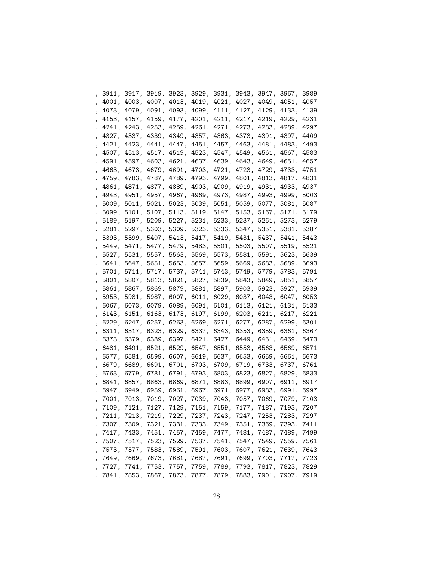|                          |  |  |  | , 3911, 3917, 3919, 3923, 3929, 3931, 3943, 3947, 3967, 3989 |  |      |
|--------------------------|--|--|--|--------------------------------------------------------------|--|------|
| $\overline{\phantom{0}}$ |  |  |  | 4001, 4003, 4007, 4013, 4019, 4021, 4027, 4049, 4051, 4057   |  |      |
| ,                        |  |  |  | 4073, 4079, 4091, 4093, 4099, 4111, 4127, 4129, 4133, 4139   |  |      |
| $\,$                     |  |  |  | 4153, 4157, 4159, 4177, 4201, 4211, 4217, 4219, 4229, 4231   |  |      |
| ,                        |  |  |  | 4241, 4243, 4253, 4259, 4261, 4271, 4273, 4283, 4289, 4297   |  |      |
| $\,$                     |  |  |  | 4327, 4337, 4339, 4349, 4357, 4363, 4373, 4391, 4397, 4409   |  |      |
| $\,$                     |  |  |  | 4421, 4423, 4441, 4447, 4451, 4457, 4463, 4481, 4483, 4493   |  |      |
| $\,$                     |  |  |  | 4507, 4513, 4517, 4519, 4523, 4547, 4549, 4561, 4567, 4583   |  |      |
| ,                        |  |  |  | 4591, 4597, 4603, 4621, 4637, 4639, 4643, 4649, 4651, 4657   |  |      |
| ,                        |  |  |  | 4663, 4673, 4679, 4691, 4703, 4721, 4723, 4729, 4733, 4751   |  |      |
| ,                        |  |  |  | 4759, 4783, 4787, 4789, 4793, 4799, 4801, 4813, 4817, 4831   |  |      |
| $\,$                     |  |  |  | 4861, 4871, 4877, 4889, 4903, 4909, 4919, 4931, 4933, 4937   |  |      |
| $\,$                     |  |  |  | 4943, 4951, 4957, 4967, 4969, 4973, 4987, 4993, 4999,        |  | 5003 |
|                          |  |  |  | , 5009, 5011, 5021, 5023, 5039, 5051, 5059, 5077, 5081,      |  | 5087 |
|                          |  |  |  | , 5099, 5101, 5107, 5113, 5119, 5147, 5153, 5167, 5171, 5179 |  |      |
|                          |  |  |  | , 5189, 5197, 5209, 5227, 5231, 5233, 5237, 5261, 5273,      |  | 5279 |
|                          |  |  |  | , 5281, 5297, 5303, 5309, 5323, 5333, 5347, 5351, 5381,      |  | 5387 |
|                          |  |  |  | , 5393, 5399, 5407, 5413, 5417, 5419, 5431, 5437, 5441,      |  | 5443 |
|                          |  |  |  | , 5449, 5471, 5477, 5479, 5483, 5501, 5503, 5507, 5519,      |  | 5521 |
|                          |  |  |  | , 5527, 5531, 5557, 5563, 5569, 5573, 5581, 5591, 5623,      |  | 5639 |
|                          |  |  |  | , 5641, 5647, 5651, 5653, 5657, 5659, 5669, 5683, 5689,      |  | 5693 |
|                          |  |  |  | , 5701, 5711, 5717, 5737, 5741, 5743, 5749, 5779, 5783,      |  | 5791 |
|                          |  |  |  | , 5801, 5807, 5813, 5821, 5827, 5839, 5843, 5849, 5851,      |  | 5857 |
| $\overline{\phantom{a}}$ |  |  |  | 5861, 5867, 5869, 5879, 5881, 5897, 5903, 5923, 5927, 5939   |  |      |
| ,                        |  |  |  | 5953, 5981, 5987, 6007, 6011, 6029, 6037, 6043, 6047, 6053   |  |      |
| ,                        |  |  |  | 6067, 6073, 6079, 6089, 6091, 6101, 6113, 6121, 6131, 6133   |  |      |
| ,                        |  |  |  | 6143, 6151, 6163, 6173, 6197, 6199, 6203, 6211, 6217, 6221   |  |      |
| ,                        |  |  |  | 6229, 6247, 6257, 6263, 6269, 6271, 6277, 6287, 6299,        |  | 6301 |
| ,                        |  |  |  | 6311, 6317, 6323, 6329, 6337, 6343, 6353, 6359, 6361,        |  | 6367 |
| ,                        |  |  |  | 6373, 6379, 6389, 6397, 6421, 6427, 6449, 6451, 6469,        |  | 6473 |
| ,                        |  |  |  | 6481, 6491, 6521, 6529, 6547, 6551, 6553, 6563, 6569,        |  | 6571 |
| ,                        |  |  |  | 6577, 6581, 6599, 6607, 6619, 6637, 6653, 6659, 6661, 6673   |  |      |
| ,                        |  |  |  | 6679, 6689, 6691, 6701, 6703, 6709, 6719, 6733, 6737, 6761   |  |      |
| ,                        |  |  |  | 6763, 6779, 6781, 6791, 6793, 6803, 6823, 6827, 6829, 6833   |  |      |
| $\overline{\phantom{a}}$ |  |  |  | 6841, 6857, 6863, 6869, 6871, 6883, 6899, 6907, 6911, 6917   |  |      |
|                          |  |  |  | , 6947, 6949, 6959, 6961, 6967, 6971, 6977, 6983, 6991, 6997 |  |      |
|                          |  |  |  | , 7001, 7013, 7019, 7027, 7039, 7043, 7057, 7069, 7079, 7103 |  |      |
|                          |  |  |  | 7109, 7121, 7127, 7129, 7151, 7159, 7177, 7187, 7193, 7207   |  |      |
|                          |  |  |  | , 7211, 7213, 7219, 7229, 7237, 7243, 7247, 7253, 7283, 7297 |  |      |
|                          |  |  |  | , 7307, 7309, 7321, 7331, 7333, 7349, 7351, 7369, 7393, 7411 |  |      |
|                          |  |  |  | , 7417, 7433, 7451, 7457, 7459, 7477, 7481, 7487, 7489, 7499 |  |      |
|                          |  |  |  | , 7507, 7517, 7523, 7529, 7537, 7541, 7547, 7549, 7559, 7561 |  |      |
|                          |  |  |  | , 7573, 7577, 7583, 7589, 7591, 7603, 7607, 7621, 7639, 7643 |  |      |
|                          |  |  |  | , 7649, 7669, 7673, 7681, 7687, 7691, 7699, 7703, 7717, 7723 |  |      |
|                          |  |  |  | , 7727, 7741, 7753, 7757, 7759, 7789, 7793, 7817, 7823, 7829 |  |      |
|                          |  |  |  | , 7841, 7853, 7867, 7873, 7877, 7879, 7883, 7901, 7907, 7919 |  |      |